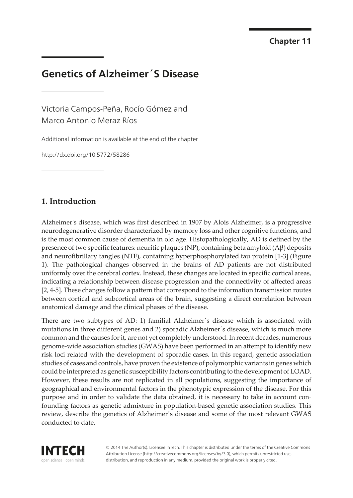**Chapter 11**

# <span id="page-0-0"></span>**Genetics of Alzheimer´S Disease**

Victoria Campos-Peña, Rocío Gómez and Marco Antonio Meraz Ríos

Additional information is available at the end of the chapter

http://dx.doi.org/10.5772/58286

# **1. Introduction**

Alzheimer's disease, which was first described in 1907 by Alois Alzheimer, is a progressive neurodegenerative disorder characterized by memory loss and other cognitive functions, and is the most common cause of dementia in old age. Histopathologically, AD is defined by the presence of two specific features: neuritic plaques (NP), containing beta amyloid (Aβ) deposits and neurofibrillary tangles (NTF), containing hyperphosphorylated tau protein [[1-3\]](#page-23-0) (Figure 1). The pathological changes observed in the brains of AD patients are not distributed uniformly over the cerebral cortex. Instead, these changes are located in specific cortical areas, indicating a relationship between disease progression and the connectivity of affected areas [[2](#page-23-0), [4-5](#page-23-0)]. These changes follow a pattern that correspond to the information transmission routes between cortical and subcortical areas of the brain, suggesting a direct correlation between anatomical damage and the clinical phases of the disease.

There are two subtypes of AD: 1) familial Alzheimer´s disease which is associated with mutations in three different genes and 2) sporadic Alzheimer´s disease, which is much more common and the causes for it, are not yet completely understood. In recent decades, numerous genome-wide association studies (GWAS) have been performed in an attempt to identify new risk loci related with the development of sporadic cases. In this regard, genetic association studies of cases and controls, have proven the existence of polymorphic variants in genes which could be interpreted as genetic susceptibility factors contributing to the development of LOAD. However, these results are not replicated in all populations, suggesting the importance of geographical and environmental factors in the phenotypic expression of the disease. For this purpose and in order to validate the data obtained, it is necessary to take in account confounding factors as genetic admixture in population-based genetic association studies. This review, describe the genetics of Alzheimer´s disease and some of the most relevant GWAS conducted to date.



© 2014 The Author(s). Licensee InTech. This chapter is distributed under the terms of the Creative Commons Attribution License (http://creativecommons.org/licenses/by/3.0), which permits unrestricted use, distribution, and reproduction in any medium, provided the original work is properly cited.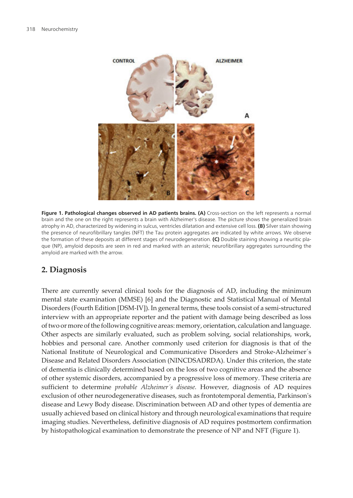

**Figure 1. Pathological changes observed in AD patients brains. (A)** Cross-section on the left represents a normal brain and the one on the right represents a brain with Alzheimer's disease. The picture shows the generalized brain atrophy in AD, characterized by widening in sulcus, ventricles dilatation and extensive cell loss. **(B)** Silver stain showing the presence of neurofibrillary tangles (NFT) the Tau protein aggregates are indicated by white arrows. We observe the formation of these deposits at different stages of neurodegeneration. **(C)** Double staining showing a neuritic pla‐ que (NP), amyloid deposits are seen in red and marked with an asterisk; neurofibrillary aggregates surrounding the amyloid are marked with the arrow.

## **2. Diagnosis**

There are currently several clinical tools for the diagnosis of AD, including the minimum mental state examination (MMSE) [\[6\]](#page-23-0) and the Diagnostic and Statistical Manual of Mental Disorders (Fourth Edition [DSM-IV]). In general terms, these tools consist of a semi-structured interview with an appropriate reporter and the patient with damage being described as loss of two or more of the following cognitive areas: memory, orientation, calculation and language. Other aspects are similarly evaluated, such as problem solving, social relationships, work, hobbies and personal care. Another commonly used criterion for diagnosis is that of the National Institute of Neurological and Communicative Disorders and Stroke-Alzheimer´s Disease and Related Disorders Association (NINCDSADRDA). Under this criterion, the state of dementia is clinically determined based on the loss of two cognitive areas and the absence of other systemic disorders, accompanied by a progressive loss of memory. These criteria are sufficient to determine *probable Alzheimer´s disease.* However, diagnosis of AD requires exclusion of other neurodegenerative diseases, such as frontotemporal dementia, Parkinson's disease and Lewy Body disease. Discrimination between AD and other types of dementia are usually achieved based on clinical history and through neurological examinations that require imaging studies. Nevertheless, definitive diagnosis of AD requires postmortem confirmation by histopathological examination to demonstrate the presence of NP and NFT ([Figure 1\).](#page-0-0)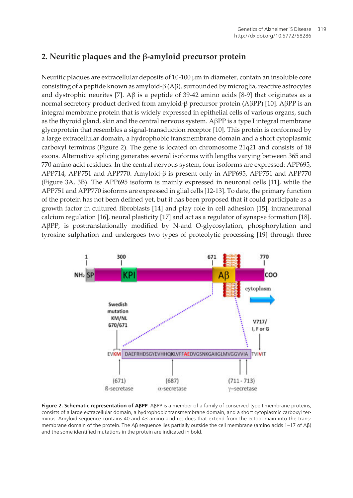# <span id="page-2-0"></span>**2. Neuritic plaques and the β-amyloid precursor protein**

Neuritic plaques are extracellular deposits of 10-100 μm in diameter, contain an insoluble core consisting of a peptide known as amyloid-β (Aβ), surrounded by microglia, reactive astrocytes and dystrophic neurites [[7](#page-23-0)]. A $\beta$  is a peptide of 39-42 amino acids [\[8-9](#page-23-0)] that originates as a normal secretory product derived from amyloid-β precursor protein (AβPP) [[10\]](#page-23-0). AβPP is an integral membrane protein that is widely expressed in epithelial cells of various organs, such as the thyroid gland, skin and the central nervous system. AβPP is a type I integral membrane glycoprotein that resembles a signal-transduction receptor [[10\]](#page-23-0). This protein is conformed by a large extracellular domain, a hydrophobic transmembrane domain and a short cytoplasmic carboxyl terminus (Figure 2). The gene is located on chromosome 21q21 and consists of 18 exons. Alternative splicing generates several isoforms with lengths varying between 365 and 770 amino acid residues. In the central nervous system, four isoforms are expressed: APP695, APP714, APP751 and APP770. Amyloid-β is present only in APP695, APP751 and APP770 ([Figure 3A,](#page-3-0) 3B). The APP695 isoform is mainly expressed in neuronal cells [[11\]](#page-23-0), while the APP751 and APP770 isoforms are expressed in glial cells [\[12-13](#page-24-0)]. To date, the primary function of the protein has not been defined yet, but it has been proposed that it could participate as a growth factor in cultured fibroblasts [[14\]](#page-24-0) and play role in cell adhesion [\[15](#page-24-0)], intraneuronal calcium regulation [\[16](#page-24-0)], neural plasticity [[17\]](#page-24-0) and act as a regulator of synapse formation [[18\]](#page-24-0). AβPP, is posttranslationally modified by N-and O-glycosylation, phosphorylation and tyrosine sulphation and undergoes two types of proteolytic processing [[19\]](#page-24-0) through three



**Figure 2. Schematic representation of AβPP**. AβPP is a member of a family of conserved type I membrane proteins, consists of a large extracellular domain, a hydrophobic transmembrane domain, and a short cytoplasmic carboxyl ter‐ minus. Amyloid sequence contains 40-and 43-amino acid residues that extend from the ectodomain into the trans‐ membrane domain of the protein. The Aβ sequence lies partially outside the cell membrane (amino acids 1–17 of Aβ) and the some identified mutations in the protein are indicated in bold.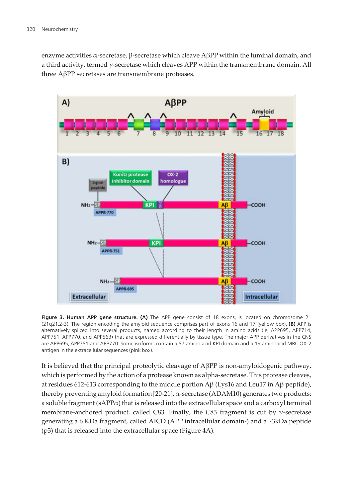<span id="page-3-0"></span>enzyme activities α-secretase, β-secretase which cleave AβPP within the luminal domain, and a third activity, termed γ-secretase which cleaves APP within the transmembrane domain. All three AβPP secretases are transmembrane proteases.



**Figure 3. Human APP gene structure. (A)** The APP gene consist of 18 exons, is located on chromosome 21 (21q21.2-3). The region encoding the amyloid sequence comprises part of exons 16 and 17 (yellow box). **(B)** APP is alternatively spliced into several products, named according to their length in amino acids (ie, APP695, APP714, APP751, APP770, and APP563) that are expressed differentially by tissue type. The major APP derivatives in the CNS are APP695, APP751 and APP770. Some isoforms contain a 57 amino acid KPI domain and a 19 aminoacid MRC OX-2 antigen in the extracellular sequences (pink box).

It is believed that the principal proteolytic cleavage of AβPP is non-amyloidogenic pathway, which is performed by the action of a protease known as alpha-secretase. This protease cleaves, at residues 612-613 corresponding to the middle portion  $\text{A}\beta$  (Lys16 and Leu17 in  $\text{A}\beta$  peptide), thereby preventing amyloid formation [\[20-21](#page-24-0)]. α-secretase (ADAM10) generates two products: a soluble fragment ( $sAPP\alpha$ ) that is released into the extracellular space and a carboxyl terminal membrane-anchored product, called C83. Finally, the C83 fragment is cut by  $\gamma$ -secretase generating a 6 KDa fragment, called AICD (APP intracellular domain-) and a ~3kDa peptide (p3) that is released into the extracellular space [\(Figure 4A\)](#page-4-0).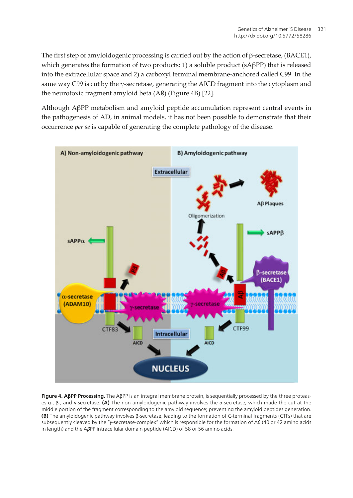<span id="page-4-0"></span>The first step of amyloidogenic processing is carried out by the action of β-secretase, (BACE1), which generates the formation of two products: 1) a soluble product (sAβPP) that is released into the extracellular space and 2) a carboxyl terminal membrane-anchored called C99. In the same way C99 is cut by the  $\gamma$ -secretase, generating the AICD fragment into the cytoplasm and the neurotoxic fragment amyloid beta (Aß) (Figure 4B) [[22\]](#page-24-0).

Although AβPP metabolism and amyloid peptide accumulation represent central events in the pathogenesis of AD, in animal models, it has not been possible to demonstrate that their occurrence *per se* is capable of generating the complete pathology of the disease.



**Figure 4. AβPP Processing.** The AβPP is an integral membrane protein, is sequentially processed by the three proteas‐ es α-, β-, and γ-secretase. **(A)** The non amyloidogenic pathway involves the α-secretase, which made the cut at the middle portion of the fragment corresponding to the amyloid sequence; preventing the amyloid peptides generation. **(B)** The amyloidogenic pathway involves β-secretase, leading to the formation of C-terminal fragments (CTFs) that are subsequently cleaved by the "γ-secretase-complex" which is responsible for the formation of Aβ (40 or 42 amino acids in length) and the AβPP intracellular domain peptide (AICD) of 58 or 56 amino acids.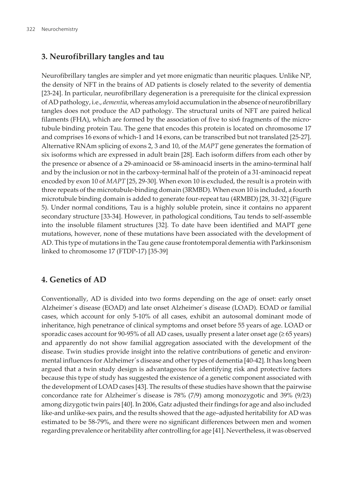### **3. Neurofibrillary tangles and tau**

Neurofibrillary tangles are simpler and yet more enigmatic than neuritic plaques. Unlike NP, the density of NFT in the brains of AD patients is closely related to the severity of dementia [[23-24\]](#page-24-0). In particular, neurofibrillary degeneration is a prerequisite for the clinical expression of AD pathology, i.e., *dementia*, whereas amyloid accumulation in the absence of neurofibrillary tangles does not produce the AD pathology. The structural units of NFT are paired helical filaments (FHA), which are formed by the association of five to six6 fragments of the microtubule binding protein Tau. The gene that encodes this protein is located on chromosome 17 and comprises 16 exons of which-1 and 14 exons, can be transcribed but not translated [[25-](#page-24-0)[27\]](#page-25-0). Alternative RNAm splicing of exons 2, 3 and 10, of the *MAPT* gene generates the formation of six isoforms which are expressed in adult brain [\[28](#page-25-0)]. Each isoform differs from each other by the presence or absence of a 29-aminoacid or 58-aminoacid inserts in the amino-terminal half and by the inclusion or not in the carboxy-terminal half of the protein of a 31-aminoacid repeat encoded by exon 10 of *MAPT* [\[25](#page-24-0), [29-30](#page-25-0)]. When exon 10 is excluded, the result is a protein with three repeats of the microtubule-binding domain (3RMBD). When exon 10 is included, a fourth microtubule binding domain is added to generate four-repeat tau (4RMBD) [\[28](#page-25-0), [31-32](#page-25-0)] [\(Figure](#page-6-0) [5\)](#page-6-0). Under normal conditions, Tau is a highly soluble protein, since it contains no apparent secondary structure [[33-34](#page-25-0)]. However, in pathological conditions, Tau tends to self-assemble into the insoluble filament structures [\[32](#page-25-0)]. To date have been identified and MAPT gene mutations, however, none of these mutations have been associated with the development of AD. This type of mutations in the Tau gene cause frontotemporal dementia with Parkinsonism linked to chromosome 17 (FTDP-17) [[35-39\]](#page-25-0)

## **4. Genetics of AD**

Conventionally, AD is divided into two forms depending on the age of onset: early onset Alzheimer´s disease (EOAD) and late onset Alzheimer´s disease (LOAD). EOAD or familial cases, which account for only 5-10% of all cases, exhibit an autosomal dominant mode of inheritance, high penetrance of clinical symptoms and onset before 55 years of age. LOAD or sporadic cases account for 90-95% of all AD cases, usually present a later onset age  $(≥ 65$  years) and apparently do not show familial aggregation associated with the development of the disease. Twin studies provide insight into the relative contributions of genetic and environ‐ mental influences for Alzheimer´s disease and other types of dementia [\[40](#page-25-0)[-42](#page-26-0)]. It has long been argued that a twin study design is advantageous for identifying risk and protective factors because this type of study has suggested the existence of a genetic component associated with the development of LOAD cases [[43\]](#page-26-0). The results of these studies have shown that the pairwise concordance rate for Alzheimer´s disease is 78% (7/9) among monozygotic and 39% (9/23) among dizygotic twin pairs [[40\]](#page-25-0). In 2006, Gatz adjusted their findings for age and also included like-and unlike-sex pairs, and the results showed that the age–adjusted heritability for AD was estimated to be 58-79%, and there were no significant differences between men and women regarding prevalence or heritability after controlling for age [\[41](#page-26-0)]. Nevertheless, it was observed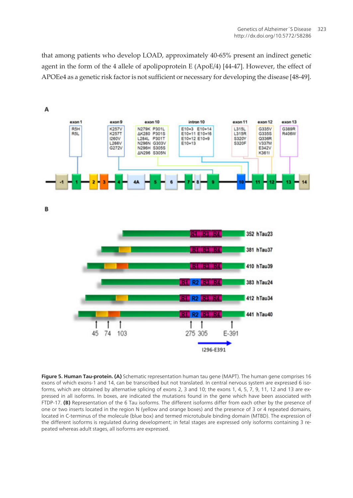<span id="page-6-0"></span>that among patients who develop LOAD, approximately 40-65% present an indirect genetic agent in the form of the 4 allele of apolipoprotein E (ApoE/4) [\[44-47](#page-26-0)]. However, the effect of APOEe4 as a genetic risk factor is not sufficient or necessary for developing the disease [[48-49\]](#page-26-0).



**Figure 5. Human Tau-protein. (A)** Schematic representation human tau gene (MAPT). The human gene comprises 16 exons of which exons-1 and 14, can be transcribed but not translated. In central nervous system are expressed 6 isoforms, which are obtained by alternative splicing of exons 2, 3 and 10; the exons 1, 4, 5, 7, 9, 11, 12 and 13 are expressed in all isoforms. In boxes, are indicated the mutations found in the gene which have been associated with FTDP-17. **(B)** Representation of the 6 Tau isoforms. The different isoforms differ from each other by the presence of one or two inserts located in the region N (yellow and orange boxes) and the presence of 3 or 4 repeated domains, located in C-terminus of the molecule (blue box) and termed microtubule binding domain (MTBD). The expression of the different isoforms is regulated during development; in fetal stages are expressed only isoforms containing 3 repeated whereas adult stages, all isoforms are expressed.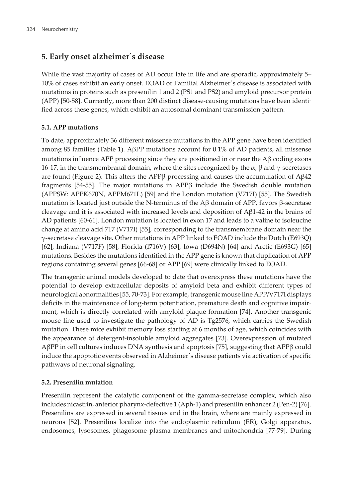# **5. Early onset alzheimer´s disease**

While the vast majority of cases of AD occur late in life and are sporadic, approximately 5– 10% of cases exhibit an early onset. EOAD or Familial Alzheimer´s disease is associated with mutations in proteins such as presenilin 1 and 2 (PS1 and PS2) and amyloid precursor protein (APP) [[50-](#page-26-0)[58\]](#page-27-0). Currently, more than 200 distinct disease-causing mutations have been identified across these genes, which exhibit an autosomal dominant transmission pattern.

#### **5.1. APP mutations**

To date, approximately 36 different missense mutations in the APP gene have been identified among 85 families (Table 1). AβPP mutations account for 0.1% of AD patients, all missense mutations influence APP processing since they are positioned in or near the Aβ coding exons 16-17, in the transmembranal domain, where the sites recognized by the  $\alpha$ , β and γ-secretases are found ([Figure 2\).](#page-2-0) This alters the APPβ processing and causes the accumulation of  $\beta$ 42 fragments [\[54-55](#page-26-0)]. The major mutations in APPβ include the Swedish double mutation (APPSW: APPK670N, APPM671L) [[59\]](#page-27-0) and the London mutation (V717I) [[55\]](#page-26-0). The Swedish mutation is located just outside the N-terminus of the Aβ domain of APP, favors β-secretase cleavage and it is associated with increased levels and deposition of Aβ1-42 in the brains of AD patients [[60-61\]](#page-27-0). London mutation is located in exon 17 and leads to a valine to isoleucine change at amino acid 717 (V717I) [\[55](#page-26-0)], corresponding to the transmembrane domain near the γ-secretase cleavage site. Other mutations in APP linked to EOAD include the Dutch (E693Q) [[62\]](#page-27-0), Indiana (V717F) [\[58](#page-27-0)], Florida (I716V) [\[63](#page-27-0)], Iowa (D694N) [[64\]](#page-27-0) and Arctic (E693G) [\[65](#page-27-0)] mutations. Besides the mutations identified in the APP gene is known that duplication of APP regions containing several genes [\[66-68](#page-27-0)] or APP [\[69](#page-27-0)] were clinically linked to EOAD.

The transgenic animal models developed to date that overexpress these mutations have the potential to develop extracellular deposits of amyloid beta and exhibit different types of neurological abnormalities [[55,](#page-26-0) [70-](#page-27-0)[73\]](#page-28-0). For example, transgenic mouse line APP/V717I displays deficits in the maintenance of long-term potentiation, premature death and cognitive impair‐ ment, which is directly correlated with amyloid plaque formation [\[74](#page-28-0)]. Another transgenic mouse line used to investigate the pathology of AD is Tg2576, which carries the Swedish mutation. These mice exhibit memory loss starting at 6 months of age, which coincides with the appearance of detergent-insoluble amyloid aggregates [[73\]](#page-28-0). Overexpression of mutated AβPP in cell cultures induces DNA synthesis and apoptosis [\[75](#page-28-0)], suggesting that APPβ could induce the apoptotic events observed in Alzheimer´s disease patients via activation of specific pathways of neuronal signaling.

#### **5.2. Presenilin mutation**

Presenilin represent the catalytic component of the gamma-secretase complex, which also includes nicastrin, anterior pharynx-defective 1 (Aph-1) and presenilin enhancer 2 (Pen-2) [[76\]](#page-28-0). Presenilins are expressed in several tissues and in the brain, where are mainly expressed in neurons [[52\]](#page-26-0). Presenilins localize into the endoplasmic reticulum (ER), Golgi apparatus, endosomes, lysosomes, phagosome plasma membranes and mitochondria [\[77-79](#page-28-0)]. During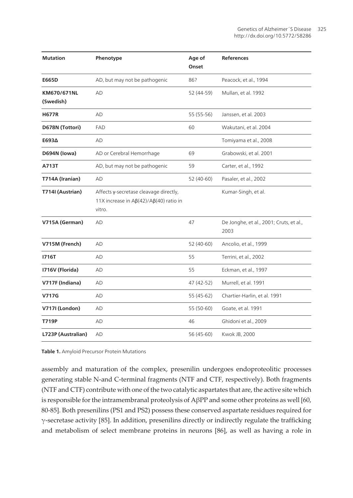| <b>Mutation</b>          | Phenotype                                                                                                    |            | References                                      |  |  |
|--------------------------|--------------------------------------------------------------------------------------------------------------|------------|-------------------------------------------------|--|--|
| E665D                    | AD, but may not be pathogenic                                                                                | 86?        | Peacock, et al., 1994                           |  |  |
| KM670/671NL<br>(Swedish) | AD                                                                                                           | 52 (44-59) | Mullan, et al. 1992                             |  |  |
| <b>H677R</b>             | AD                                                                                                           | 55 (55-56) | Janssen, et al. 2003                            |  |  |
| D678N (Tottori)          | FAD                                                                                                          |            | Wakutani, et al. 2004                           |  |  |
| E693A                    | AD                                                                                                           |            | Tomiyama et al., 2008                           |  |  |
| D694N (lowa)             | AD or Cerebral Hemorrhage                                                                                    | 69         | Grabowski, et al. 2001                          |  |  |
| A713T                    | AD, but may not be pathogenic                                                                                | 59         | Carter, et al., 1992                            |  |  |
| T714A (Iranian)          | AD                                                                                                           | 52 (40-60) | Pasaler, et al., 2002                           |  |  |
| T714I (Austrian)         | Affects y-secretase cleavage directly,<br>11X increase in $\frac{A\beta(42)}{A\beta(40)}$ ratio in<br>vitro. |            | Kumar-Singh, et al.                             |  |  |
| V715A (German)           | AD                                                                                                           | 47         | De Jonghe, et al., 2001; Cruts, et al.,<br>2003 |  |  |
| V715M (French)           | AD                                                                                                           | 52 (40-60) | Ancolio, et al., 1999                           |  |  |
| <b>I716T</b>             | AD                                                                                                           | 55         | Terrini, et al., 2002                           |  |  |
| I716V (Florida)          | AD                                                                                                           | 55         | Eckman, et al., 1997                            |  |  |
| V717F (Indiana)          | AD                                                                                                           | 47 (42-52) | Murrell, et al. 1991                            |  |  |
| V717G                    | AD                                                                                                           | 55 (45-62) | Chartier-Harlin, et al. 1991                    |  |  |
| V717I (London)           | AD                                                                                                           | 55 (50-60) | Goate, et al. 1991                              |  |  |
| T719P                    | AD                                                                                                           | 46         | Ghidoni et al., 2009                            |  |  |
| L723P (Australian)       | AD                                                                                                           | 56 (45-60) | Kwok JB, 2000                                   |  |  |

**Table 1.** Amyloid Precursor Protein Mutations

assembly and maturation of the complex, presenilin undergoes endoproteolitic processes generating stable N-and C-terminal fragments (NTF and CTF, respectively). Both fragments (NTF and CTF) contribute with one of the two catalytic aspartates that are, the active site which is responsible for the intramembranal proteolysis of AβPP and some other proteins as well [[60,](#page-27-0) [80-](#page-28-0)[85\]](#page-29-0). Both presenilins (PS1 and PS2) possess these conserved aspartate residues required for γ-secretase activity [[85\]](#page-29-0). In addition, presenilins directly or indirectly regulate the trafficking and metabolism of select membrane proteins in neurons [\[86](#page-29-0)], as well as having a role in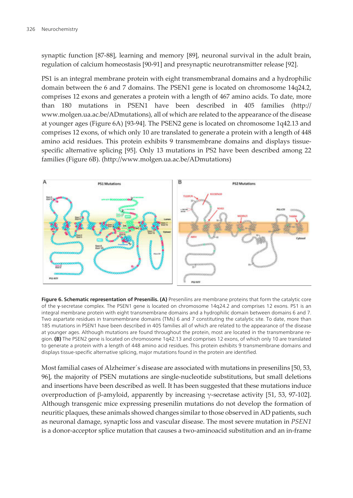synaptic function [\[87-88](#page-29-0)], learning and memory [[89\]](#page-29-0), neuronal survival in the adult brain, regulation of calcium homeostasis [[90-91\]](#page-29-0) and presynaptic neurotransmitter release [\[92](#page-29-0)].

PS1 is an integral membrane protein with eight transmembranal domains and a hydrophilic domain between the 6 and 7 domains. The PSEN1 gene is located on chromosome 14q24.2, comprises 12 exons and generates a protein with a length of 467 amino acids. To date, more than 180 mutations in PSEN1 have been described in 405 families (http:// www.molgen.ua.ac.be/ADmutations), all of which are related to the appearance of the disease at younger ages (Figure 6A) [[93-94\]](#page-29-0). The PSEN2 gene is located on chromosome 1q42.13 and comprises 12 exons, of which only 10 are translated to generate a protein with a length of 448 amino acid residues. This protein exhibits 9 transmembrane domains and displays tissuespecific alternative splicing [\[95](#page-29-0)]. Only 13 mutations in PS2 have been described among 22 families (Figure 6B). (http://www.molgen.ua.ac.be/ADmutations)





Most familial cases of Alzheimer´s disease are associated with mutations in presenilins [[50, 53,](#page-26-0) [96\]](#page-29-0), the majority of PSEN mutations are single-nucleotide substitutions, but small deletions and insertions have been described as well. It has been suggested that these mutations induce overproduction of β-amyloid, apparently by increasing γ-secretase activity [[51,](#page-26-0) [53](#page-26-0), [97](#page-29-0)[-102\]](#page-30-0). Although transgenic mice expressing presenilin mutations do not develop the formation of neuritic plaques, these animals showed changes similar to those observed in AD patients, such as neuronal damage, synaptic loss and vascular disease. The most severe mutation in *PSEN1* is a donor-acceptor splice mutation that causes a two-aminoacid substitution and an in-frame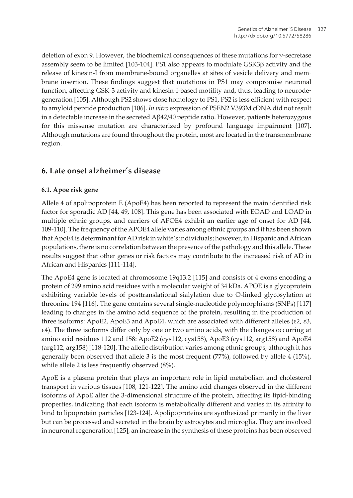deletion of exon 9. However, the biochemical consequences of these mutations for  $\gamma$ -secretase assembly seem to be limited [[103-104\]](#page-30-0). PS1 also appears to modulate GSK3β activity and the release of kinesin-I from membrane-bound organelles at sites of vesicle delivery and mem‐ brane insertion. These findings suggest that mutations in PS1 may compromise neuronal function, affecting GSK-3 activity and kinesin-I-based motility and, thus, leading to neurode‐ generation [\[105\]](#page-30-0). Although PS2 shows close homology to PS1, PS2 is less efficient with respect to amyloid peptide production [\[106\]](#page-30-0). *In vitro* expression of PSEN2 V393M cDNA did not result in a detectable increase in the secreted Aβ42/40 peptide ratio. However, patients heterozygous for this missense mutation are characterized by profound language impairment [\[107\]](#page-30-0). Although mutations are found throughout the protein, most are located in the transmembrane region.

# **6. Late onset alzheimer´s disease**

#### **6.1. Apoe risk gene**

Allele 4 of apolipoprotein E (ApoE4) has been reported to represent the main identified risk factor for sporadic AD [[44, 49](#page-26-0), [108\]](#page-30-0). This gene has been associated with EOAD and LOAD in multiple ethnic groups, and carriers of APOE4 exhibit an earlier age of onset for AD [[44,](#page-26-0) [109-110\]](#page-30-0). The frequency of the APOE4 allele varies among ethnic groups and it has been shown that ApoE4 is determinant for AD risk in white's individuals; however, in Hispanic and African populations, there is no correlation between the presence of the pathology and this allele. These results suggest that other genes or risk factors may contribute to the increased risk of AD in African and Hispanics [\[111-114](#page-30-0)].

The ApoE4 gene is located at chromosome 19q13.2 [[115](#page-31-0)] and consists of 4 exons encoding a protein of 299 amino acid residues with a molecular weight of 34 kDa. APOE is a glycoprotein exhibiting variable levels of posttranslational sialylation due to O-linked glycosylation at threonine 194 [[116](#page-31-0)]. The gene contains several single-nucleotide polymorphisms (SNPs) [[117](#page-31-0)] leading to changes in the amino acid sequence of the protein, resulting in the production of three isoforms: ApoE2, ApoE3 and ApoE4, which are associated with different alleles (ε2, ε3, ε4). The three isoforms differ only by one or two amino acids, with the changes occurring at amino acid residues 112 and 158: ApoE2 (cys112, cys158), ApoE3 (cys112, arg158) and ApoE4 (arg112, arg158) [[118-120\]](#page-31-0). The allelic distribution varies among ethnic groups, although it has generally been observed that allele 3 is the most frequent (77%), followed by allele 4 (15%), while allele 2 is less frequently observed (8%).

ApoE is a plasma protein that plays an important role in lipid metabolism and cholesterol transport in various tissues [\[108,](#page-30-0) [121-122](#page-31-0)]. The amino acid changes observed in the different isoforms of ApoE alter the 3-dimensional structure of the protein, affecting its lipid-binding properties, indicating that each isoform is metabolically different and varies in its affinity to bind to lipoprotein particles [\[123-124\]](#page-31-0). Apolipoproteins are synthesized primarily in the liver but can be processed and secreted in the brain by astrocytes and microglia. They are involved in neuronal regeneration [[125](#page-31-0)], an increase in the synthesis of these proteins has been observed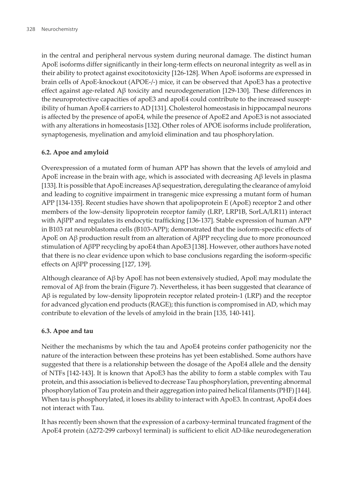in the central and peripheral nervous system during neuronal damage. The distinct human ApoE isoforms differ significantly in their long-term effects on neuronal integrity as well as in their ability to protect against exocitotoxicity [[126-128\]](#page-31-0). When ApoE isoforms are expressed in brain cells of ApoE-knockout (APOE-/-) mice, it can be observed that ApoE3 has a protective effect against age-related Aβ toxicity and neurodegeneration [[129-130\]](#page-32-0). These differences in the neuroprotective capacities of apoE3 and apoE4 could contribute to the increased susceptibility of human ApoE4 carriers to AD [\[131\]](#page-32-0). Cholesterol homeostasis in hippocampal neurons is affected by the presence of apoE4, while the presence of ApoE2 and ApoE3 is not associated with any alterations in homeostasis [[132](#page-32-0)]. Other roles of APOE isoforms include proliferation, synaptogenesis, myelination and amyloid elimination and tau phosphorylation.

#### **6.2. Apoe and amyloid**

Overexpression of a mutated form of human APP has shown that the levels of amyloid and ApoE increase in the brain with age, which is associated with decreasing  $\mathsf{A}\beta$  levels in plasma [[133](#page-32-0)]. It is possible that ApoE increases Aβ sequestration, deregulating the clearance of amyloid and leading to cognitive impairment in transgenic mice expressing a mutant form of human APP [[134-135\]](#page-32-0). Recent studies have shown that apolipoprotein E (ApoE) receptor 2 and other members of the low-density lipoprotein receptor family (LRP, LRP1B, SorLA/LR11) interact with AβPP and regulates its endocytic trafficking [[136-137\]](#page-32-0). Stable expression of human APP in B103 rat neuroblastoma cells (B103-APP); demonstrated that the isoform-specific effects of ApoE on Aβ production result from an alteration of AβPP recycling due to more pronounced stimulation of AβPP recycling by apoE4 than ApoE3 [[138](#page-32-0)]. However, other authors have noted that there is no clear evidence upon which to base conclusions regarding the isoform-specific effects on AβPP processing [\[127,](#page-31-0) [139\]](#page-32-0).

Although clearance of Aβ by ApoE has not been extensively studied, ApoE may modulate the removal of  $\beta$  from the brain [\(Figure 7\)](#page-12-0). Nevertheless, it has been suggested that clearance of Aβ is regulated by low-density lipoprotein receptor related protein-1 (LRP) and the receptor for advanced glycation end products (RAGE); this function is compromised in AD, which may contribute to elevation of the levels of amyloid in the brain [\[135, 140-141](#page-32-0)].

#### **6.3. Apoe and tau**

Neither the mechanisms by which the tau and ApoE4 proteins confer pathogenicity nor the nature of the interaction between these proteins has yet been established. Some authors have suggested that there is a relationship between the dosage of the ApoE4 allele and the density of NTFs [[142](#page-32-0)[-143\]](#page-33-0). It is known that ApoE3 has the ability to form a stable complex with Tau protein, and this association is believed to decrease Tau phosphorylation, preventing abnormal phosphorylation of Tau protein and their aggregation into paired helical filaments (PHF) [\[144\]](#page-33-0). When tau is phosphorylated, it loses its ability to interact with ApoE3. In contrast, ApoE4 does not interact with Tau.

It has recently been shown that the expression of a carboxy-terminal truncated fragment of the ApoE4 protein (Δ272-299 carboxyl terminal) is sufficient to elicit AD-like neurodegeneration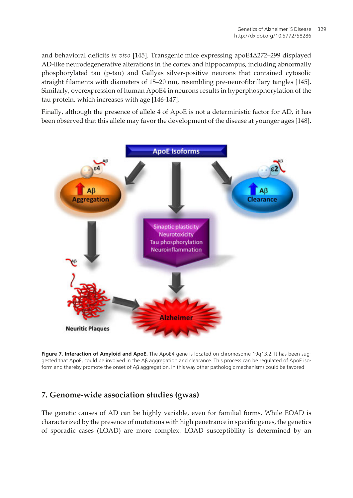<span id="page-12-0"></span>and behavioral deficits *in vivo* [\[145\]](#page-33-0). Transgenic mice expressing apoE4Δ272–299 displayed AD-like neurodegenerative alterations in the cortex and hippocampus, including abnormally phosphorylated tau (p-tau) and Gallyas silver-positive neurons that contained cytosolic straight filaments with diameters of 15–20 nm, resembling pre-neurofibrillary tangles [\[145\]](#page-33-0). Similarly, overexpression of human ApoE4 in neurons results in hyperphosphorylation of the tau protein, which increases with age [\[146-147](#page-33-0)].

Finally, although the presence of allele 4 of ApoE is not a deterministic factor for AD, it has been observed that this allele may favor the development of the disease at younger ages [\[148\]](#page-33-0).



**Figure 7. Interaction of Amyloid and ApoE.** The ApoE4 gene is located on chromosome 19q13.2. It has been sug‐ gested that ApoE, could be involved in the Aβ aggregation and clearance. This process can be regulated of ApoE isoform and thereby promote the onset of Aβ aggregation. In this way other pathologic mechanisms could be favored

## **7. Genome-wide association studies (gwas)**

The genetic causes of AD can be highly variable, even for familial forms. While EOAD is characterized by the presence of mutations with high penetrance in specific genes, the genetics of sporadic cases (LOAD) are more complex. LOAD susceptibility is determined by an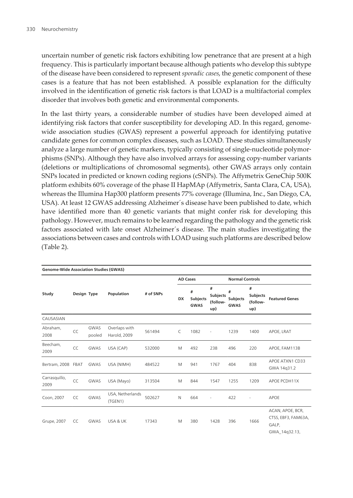uncertain number of genetic risk factors exhibiting low penetrance that are present at a high frequency. This is particularly important because although patients who develop this subtype of the disease have been considered to represent *sporadic cases*, the genetic component of these cases is a feature that has not been established. A possible explanation for the difficulty involved in the identification of genetic risk factors is that LOAD is a multifactorial complex disorder that involves both genetic and environmental components.

In the last thirty years, a considerable number of studies have been developed aimed at identifying risk factors that confer susceptibility for developing AD. In this regard, genomewide association studies (GWAS) represent a powerful approach for identifying putative candidate genes for common complex diseases, such as LOAD. These studies simultaneously analyze a large number of genetic markers, typically consisting of single-nucleotide polymorphisms (SNPs). Although they have also involved arrays for assessing copy-number variants (deletions or multiplications of chromosomal segments), other GWAS arrays only contain SNPs located in predicted or known coding regions (cSNPs). The Affymetrix GeneChip 500K platform exhibits 60% coverage of the phase II HapMAp (Affymetrix, Santa Clara, CA, USA), whereas the Illumina Hap300 platform presents 77% coverage (Illumina, Inc., San Diego, CA, USA). At least 12 GWAS addressing Alzheimer´s disease have been published to date, which have identified more than 40 genetic variants that might confer risk for developing this pathology. However, much remains to be learned regarding the pathology and the genetic risk factors associated with late onset Alzheimer´s disease. The main studies investigating the associations between cases and controls with LOAD using such platforms are described below (Table 2).

| <b>Genome-Wide Association Studies (GWAS)</b> |             |                |                               |           |                 |                              |                                         |                                     |                                         |                                                                   |
|-----------------------------------------------|-------------|----------------|-------------------------------|-----------|-----------------|------------------------------|-----------------------------------------|-------------------------------------|-----------------------------------------|-------------------------------------------------------------------|
| Study                                         | Design Type |                | Population                    | # of SNPs | <b>AD Cases</b> |                              |                                         | <b>Normal Controls</b>              |                                         |                                                                   |
|                                               |             |                |                               |           | DX              | #<br>Subjects<br><b>GWAS</b> | #<br><b>Subjects</b><br>(follow-<br>up) | #<br><b>Subjects</b><br><b>GWAS</b> | #<br><b>Subjects</b><br>(follow-<br>up) | <b>Featured Genes</b>                                             |
| CAUSASIAN                                     |             |                |                               |           |                 |                              |                                         |                                     |                                         |                                                                   |
| Abraham,<br>2008                              | CC          | GWAS<br>pooled | Overlaps with<br>Harold, 2009 | 561494    | C               | 1082                         | ٠                                       | 1239                                | 1400                                    | APOE, LRAT                                                        |
| Beecham,<br>2009                              | CC          | GWAS           | USA (CAP)                     | 532000    | M               | 492                          | 238                                     | 496                                 | 220                                     | APOE, FAM113B                                                     |
| Bertram, 2008 FBAT                            |             | GWAS           | USA (NIMH)                    | 484522    | M               | 941                          | 1767                                    | 404                                 | 838                                     | APOE ATXN1 CD33<br>GWA 14g31.2                                    |
| Carrasquillo,<br>2009                         | CC          | GWAS           | USA (Mayo)                    | 313504    | M               | 844                          | 1547                                    | 1255                                | 1209                                    | APOE PCDH11X                                                      |
| Coon, 2007                                    | CC          | GWAS           | USA, Netherlands<br>(TGEN1)   | 502627    | N               | 664                          | ٠                                       | 422                                 | ä,                                      | APOE                                                              |
| Grupe, 2007                                   | CC          | GWAS           | USA & UK                      | 17343     | M               | 380                          | 1428                                    | 396                                 | 1666                                    | ACAN, APOE, BCR,<br>CTSS, EBF3, FAM63A,<br>GALP,<br>GWA 14g32.13, |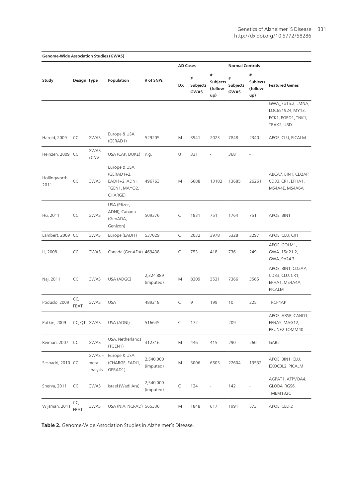| Study                 |             |                             | Population                                                                 | # of SNPs              |    | <b>AD Cases</b>              |                                  |                              | <b>Normal Controls</b>           |                                                                           |
|-----------------------|-------------|-----------------------------|----------------------------------------------------------------------------|------------------------|----|------------------------------|----------------------------------|------------------------------|----------------------------------|---------------------------------------------------------------------------|
|                       | Design Type |                             |                                                                            |                        | DX | #<br>Subjects<br><b>GWAS</b> | #<br>Subjects<br>(follow-<br>up) | #<br>Subjects<br><b>GWAS</b> | #<br>Subjects<br>(follow-<br>up) | <b>Featured Genes</b>                                                     |
|                       |             |                             |                                                                            |                        |    |                              |                                  |                              |                                  | GWA_7p15.2, LMNA,<br>LOC651924, MY13,<br>PCK1, PGBD1, TNK1,<br>TRAK2, UBD |
| Harold, 2009          | CC          | GWAS                        | Europe & USA<br>(GERAD1)                                                   | 529205                 | М  | 3941                         | 2023                             | 7848                         | 2340                             | APOE, CLU, PICALM                                                         |
| Heinzen, 2009 CC      |             | GWAS<br>+CNV                | USA (CAP, DUKE)                                                            | n.g.                   | U  | 331                          |                                  | 368                          |                                  |                                                                           |
| Hollingworth,<br>2011 | CC          | GWAS                        | Europe & USA<br>$(GERAD1+2,$<br>EADI1+2, ADNI,<br>TGEN1, MAYO2,<br>CHARGE) | 496763                 | M  | 6688                         | 13182                            | 13685                        | 26261                            | ABCA7, BIN1, CD2AP,<br>CD33, CR1, EPHA1,<br>MS4A4E, MS4A6A                |
| Hu, 2011              | CC          | GWAS                        | USA (Pfizer,<br>ADNI), Canada<br>(GenADA,<br>Genizon)                      | 509376                 | C  | 1831                         | 751                              | 1764                         | 751                              | APOE, BIN1                                                                |
| Lambert, 2009 CC      |             | GWAS                        | Europe (EADI1)                                                             | 537029                 | C  | 2032                         | 3978                             | 5328                         | 3297                             | APOE, CLU, CR1                                                            |
| Li, 2008              | CC          | GWAS                        | Canada (GenADA) 469438                                                     |                        | C  | 753                          | 418                              | 736                          | 249                              | APOE, GOLM1,<br>GWA_15q21.2,<br>GWA_9p24.3                                |
| Naj, 2011             | CC          | GWAS                        | USA (ADGC)                                                                 | 2,324,889<br>(imputed) | М  | 8309                         | 3531                             | 7366                         | 3565                             | APOE, BIN1, CD2AP,<br>CD33, CLU, CR1,<br>EPHA1, MS4A4A,<br>PICALM         |
| Poduslo, 2009         | CC,<br>FBAT | GWAS                        | <b>USA</b>                                                                 | 489218                 | C  | 9                            | 199                              | 10                           | 225                              | TRCP4AP                                                                   |
| Potkin, 2009          |             | CC, QT GWAS                 | USA (ADNI)                                                                 | 516645                 | C  | 172                          |                                  | 209                          |                                  | APOE, ARSB, CAND1,<br>EFNA5, MAG12,<br>PRUNE2 TOMM40                      |
| Reiman, 2007          | CC          | GWAS                        | USA, Netherlands<br>(TGEN1)                                                | 312316                 | M  | 446                          | 415                              | 290                          | 260                              | GAB2                                                                      |
| Seshadri, 2010 CC     |             | GWAS +<br>meta-<br>analysis | Europe & USA<br>(CHARGE, EADI1,<br>GERAD1)                                 | 2,540,000<br>(imputed) | М  | 3006                         | 6505                             | 22604                        | 13532                            | APOE, BIN1, CLU,<br>EXOC3L2, PICALM                                       |
| Sherva, 2011          | CC          | GWAS                        | Israel (Wadi Ara)                                                          | 2,540,000<br>(imputed) | C  | 124                          |                                  | 142                          |                                  | AGPAT1, ATPVOA4,<br>GLOD4, RGS6,<br>TMEM132C                              |
| Wijsman, 2011         | CC,<br>FBAT | GWAS                        | USA (NIA, NCRAD) 565336                                                    |                        | Μ  | 1848                         | 617                              | 1991                         | 573                              | APOE, CELF2                                                               |

**Genome-Wide Association Studies (GWAS)**

**Table 2.** Genome-Wide Association Studies in Alzheimer's Disease.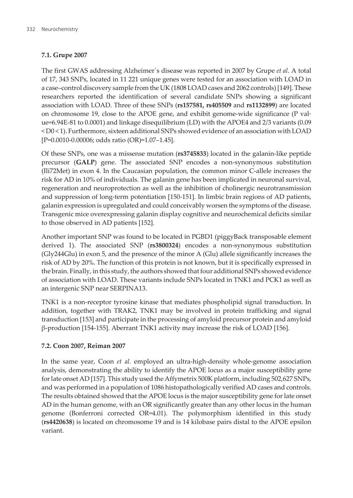#### **7.1. Grupe 2007**

The first GWAS addressing Alzheimer´s disease was reported in 2007 by Grupe *et al*. A total of 17, 343 SNPs, located in 11 221 unique genes were tested for an association with LOAD in a case–control discovery sample from the UK (1808 LOAD cases and 2062 controls) [[149](#page-33-0)]. These researchers reported the identification of several candidate SNPs showing a significant association with LOAD. Three of these SNPs (**rs157581, rs405509** and **rs1132899**) are located on chromosome 19, close to the APOE gene, and exhibit genome-wide significance (P val‐ ue=6.94E-81 to 0.0001) and linkage disequilibrium (LD) with the APOE4 and 2/3 variants (0.09 < D0 < 1). Furthermore, sixteen additional SNPs showed evidence of an association with LOAD [P=0.0010-0.00006; odds ratio (OR)=1.07–1.45].

Of these SNPs, one was a missense mutation (**rs3745833**) located in the galanin-like peptide precursor (**GALP**) gene. The associated SNP encodes a non-synonymous substitution (Ili72Met) in exon 4. In the Caucasian population, the common minor C-allele increases the risk for AD in 10% of individuals. The galanin gene has been implicated in neuronal survival, regeneration and neuroprotection as well as the inhibition of cholinergic neurotransmission and suppression of long-term potentiation [\[150-151](#page-33-0)]. In limbic brain regions of AD patients, galanin expression is upregulated and could conceivably worsen the symptoms of the disease. Transgenic mice overexpressing galanin display cognitive and neurochemical deficits similar to those observed in AD patients [\[152\]](#page-33-0).

Another important SNP was found to be located in PGBD1 (piggyBack transposable element derived 1). The associated SNP (**rs3800324**) encodes a non-synonymous substitution (Gly244Glu) in exon 5, and the presence of the minor A (Glu) allele significantly increases the risk of AD by 20%. The function of this protein is not known, but it is specifically expressed in the brain. Finally, in this study, the authors showed that four additional SNPs showed evidence of association with LOAD. These variants include SNPs located in TNK1 and PCK1 as well as an intergenic SNP near SERPINA13.

TNK1 is a non-receptor tyrosine kinase that mediates phospholipid signal transduction. In addition, together with TRAK2, TNK1 may be involved in protein trafficking and signal transduction [\[153\]](#page-33-0) and participate in the processing of amyloid precursor protein and amyloid β-production [[154](#page-33-0)[-155\]](#page-34-0). Aberrant TNK1 activity may increase the risk of LOAD [[156](#page-34-0)].

#### **7.2. Coon 2007, Reiman 2007**

In the same year, Coon *et al.* employed an ultra-high-density whole-genome association analysis, demonstrating the ability to identify the APOE locus as a major susceptibility gene for late onset AD [[157](#page-34-0)]. This study used the Affymetrix 500K platform, including 502,627 SNPs, and was performed in a population of 1086 histopathologically verified AD cases and controls. The results obtained showed that the APOE locus is the major susceptibility gene for late onset AD in the human genome, with an OR significantly greater than any other locus in the human genome (Bonferroni corrected OR=4.01). The polymorphism identified in this study (**rs4420638**) is located on chromosome 19 and is 14 kilobase pairs distal to the APOE epsilon variant.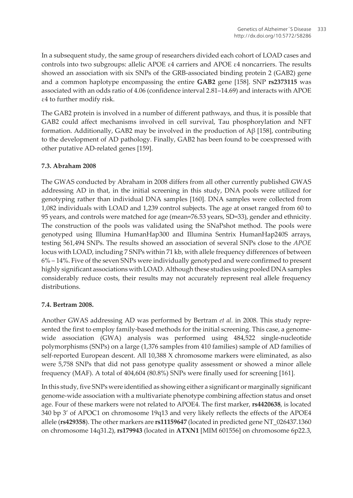In a subsequent study, the same group of researchers divided each cohort of LOAD cases and controls into two subgroups: allelic APOE ε4 carriers and APOE ε4 noncarriers. The results showed an association with six SNPs of the GRB-associated binding protein 2 (GAB2) gene and a common haplotype encompassing the entire **GAB2** gene [\[158\]](#page-34-0). SNP **rs2373115** was associated with an odds ratio of 4.06 (confidence interval 2.81–14.69) and interacts with APOE ε4 to further modify risk.

The GAB2 protein is involved in a number of different pathways, and thus, it is possible that GAB2 could affect mechanisms involved in cell survival, Tau phosphorylation and NFT formation. Additionally, GAB2 may be involved in the production of  $\mathbf{A}\beta$  [\[158\]](#page-34-0), contributing to the development of AD pathology. Finally, GAB2 has been found to be coexpressed with other putative AD-related genes [\[159\]](#page-34-0).

#### **7.3. Abraham 2008**

The GWAS conducted by Abraham in 2008 differs from all other currently published GWAS addressing AD in that, in the initial screening in this study, DNA pools were utilized for genotyping rather than individual DNA samples [\[160\]](#page-34-0). DNA samples were collected from 1,082 individuals with LOAD and 1,239 control subjects. The age at onset ranged from 60 to 95 years, and controls were matched for age (mean=76.53 years, SD=33), gender and ethnicity. The construction of the pools was validated using the SNaPshot method. The pools were genotyped using Illumina HumanHap300 and Illumina Sentrix HumanHap240S arrays, testing 561,494 SNPs. The results showed an association of several SNPs close to the *APOE* locus with LOAD, including 7 SNPs within 71 kb, with allele frequency differences of between 6% – 14%. Five of the seven SNPs were individually genotyped and were confirmed to present highly significant associations with LOAD. Although these studies using pooled DNA samples considerably reduce costs, their results may not accurately represent real allele frequency distributions.

#### **7.4. Bertram 2008.**

Another GWAS addressing AD was performed by Bertram *et al.* in 2008. This study repre‐ sented the first to employ family-based methods for the initial screening. This case, a genomewide association (GWA) analysis was performed using 484,522 single-nucleotide polymorphisms (SNPs) on a large (1,376 samples from 410 families) sample of AD families of self-reported European descent. All 10,388 X chromosome markers were eliminated, as also were 5,758 SNPs that did not pass genotype quality assessment or showed a minor allele frequency (MAF). A total of 404,604 (80.8%) SNPs were finally used for screening [\[161\]](#page-34-0).

In this study, five SNPs were identified as showing either a significant or marginally significant genome-wide association with a multivariate phenotype combining affection status and onset age. Four of these markers were not related to APOE4. The first marker, **rs4420638**, is located 340 bp 3' of APOC1 on chromosome 19q13 and very likely reflects the effects of the APOE4 allele (**rs429358**). The other markers are **rs11159647** (located in predicted gene NT\_026437.1360 on chromosome 14q31.2), **rs179943** (located in **ATXN1** [MIM 601556] on chromosome 6p22.3,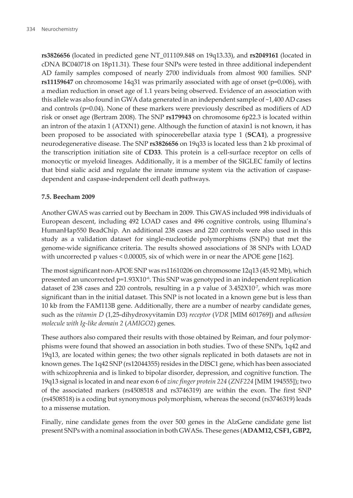**rs3826656** (located in predicted gene NT\_011109.848 on 19q13.33), and **rs2049161** (located in cDNA BC040718 on 18p11.31). These four SNPs were tested in three additional independent AD family samples composed of nearly 2700 individuals from almost 900 families. SNP **rs11159647** on chromosome 14q31 was primarily associated with age of onset (p=0.006), with a median reduction in onset age of 1.1 years being observed. Evidence of an association with this allele was also found in GWA data generated in an independent sample of ~1,400 AD cases and controls (p=0.04). None of these markers were previously described as modifiers of AD risk or onset age (Bertram 2008). The SNP **rs179943** on chromosome 6p22.3 is located within an intron of the ataxin 1 (ATXN1) gene. Although the function of ataxin1 is not known, it has been proposed to be associated with spinocerebellar ataxia type 1 (**SCA1**), a progressive neurodegenerative disease. The SNP **rs3826656** on 19q33 is located less than 2 kb proximal of the transcription initiation site of **CD33**. This protein is a cell-surface receptor on cells of monocytic or myeloid lineages. Additionally, it is a member of the SIGLEC family of lectins that bind sialic acid and regulate the innate immune system via the activation of caspasedependent and caspase-independent cell death pathways.

#### **7.5. Beecham 2009**

Another GWAS was carried out by Beecham in 2009. This GWAS included 998 individuals of European descent, including 492 LOAD cases and 496 cognitive controls, using Illumina's HumanHap550 BeadChip. An additional 238 cases and 220 controls were also used in this study as a validation dataset for single-nucleotide polymorphisms (SNPs) that met the genome-wide significance criteria. The results showed associations of 38 SNPs with LOAD with uncorrected p values < 0.00005, six of which were in or near the APOE gene [\[162\]](#page-34-0).

The most significant non-APOE SNP was rs11610206 on chromosome 12q13 (45.92 Mb), which presented an uncorrected p=1.93X10<sup>-6</sup>. This SNP was genotyped in an independent replication dataset of 238 cases and 220 controls, resulting in a p value of  $3.452X10<sup>7</sup>$ , which was more significant than in the initial dataset. This SNP is not located in a known gene but is less than 10 kb from the FAM113B gene. Additionally, there are a number of nearby candidate genes, such as the *vitamin D* (1,25-dihydroxyvitamin D3) *receptor* (*VDR* [MIM 601769]) and *adhesion molecule with Ig-like domain 2* (*AMIGO2*) genes.

These authors also compared their results with those obtained by Reiman, and four polymorphisms were found that showed an association in both studies. Two of these SNPs, 1q42 and 19q13, are located within genes; the two other signals replicated in both datasets are not in known genes. The 1q42 SNP (rs12044355) resides in the DISC1 gene, which has been associated with schizophrenia and is linked to bipolar disorder, depression, and cognitive function. The 19q13 signal is located in and near exon 6 of *zinc finger protein 224* (*ZNF224* [MIM 194555]); two of the associated markers (rs4508518 and rs3746319) are within the exon. The first SNP (rs4508518) is a coding but synonymous polymorphism, whereas the second (rs3746319) leads to a missense mutation.

Finally, nine candidate genes from the over 500 genes in the AlzGene candidate gene list present SNPs with a nominal association in both GWASs. These genes (**ADAM12, CSF1, GBP2,**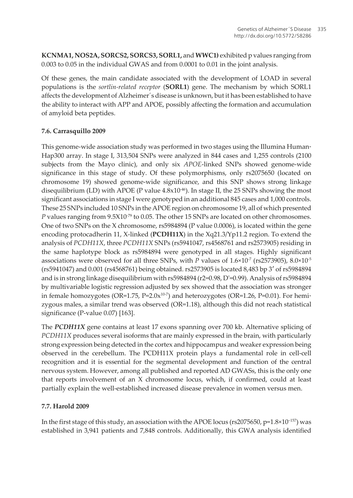**KCNMA1, NOS2A, SORCS2, SORCS3, SORL1,** and **WWC1)** exhibited p values ranging from 0.003 to 0.05 in the individual GWAS and from 0.0001 to 0.01 in the joint analysis.

Of these genes, the main candidate associated with the development of LOAD in several populations is the *sortlin-related receptor* (**SORL1**) gene. The mechanism by which SORL1 affects the development of Alzheimer´s disease is unknown, but it has been established to have the ability to interact with APP and APOE, possibly affecting the formation and accumulation of amyloid beta peptides.

#### **7.6. Carrasquillo 2009**

This genome-wide association study was performed in two stages using the Illumina Human‐ Hap300 array. In stage I, 313,504 SNPs were analyzed in 844 cases and 1,255 controls (2100 subjects from the Mayo clinic), and only six *APOE*-linked SNPs showed genome-wide significance in this stage of study. Of these polymorphisms, only rs2075650 (located on chromosome 19) showed genome-wide significance, and this SNP shows strong linkage disequilibrium (LD) with APOE (P value  $4.8x10^{46}$ ). In stage II, the 25 SNPs showing the most significant associations in stage I were genotyped in an additional 845 cases and 1,000 controls. These 25 SNPs included 10 SNPs in the APOE region on chromosome 19, all of which presented *P* values ranging from 9.5X10<sup>-79</sup> to 0.05. The other 15 SNPs are located on other chromosomes. One of two SNPs on the X chromosome, rs5984894 (P value 0.0006), is located within the gene encoding protocadherin 11, X-linked (**PCDH11X**) in the Xq21.3/Yp11.2 region. To extend the analysis of *PCDH11X*, three *PCDH11X* SNPs (rs5941047, rs4568761 and rs2573905) residing in the same haplotype block as rs5984894 were genotyped in all stages. Highly significant associations were observed for all three SNPs, with *P* values of  $1.6 \times 10^{-7}$  (rs2573905),  $8.0 \times 10^{-5}$ (rs5941047) and 0.001 (rs4568761) being obtained. rs2573905 is located 8,483 bp 3′ of rs5984894 and is in strong linkage disequilibrium with rs5984894 (r2=0.98, D'=0.99). Analysis of rs5984894 by multivariable logistic regression adjusted by sex showed that the association was stronger in female homozygotes ( $OR=1.75$ ,  $P=2.0x^{10.7}$ ) and heterozygotes ( $OR=1.26$ ,  $P=0.01$ ). For hemizygous males, a similar trend was observed (OR=1.18), although this did not reach statistical significance (P-value 0.07) [[163](#page-34-0)].

The *PCDH11X* gene contains at least 17 exons spanning over 700 kb. Alternative splicing of *PCDH11X* produces several isoforms that are mainly expressed in the brain, with particularly strong expression being detected in the cortex and hippocampus and weaker expression being observed in the cerebellum. The PCDH11X protein plays a fundamental role in cell-cell recognition and it is essential for the segmental development and function of the central nervous system. However, among all published and reported AD GWASs, this is the only one that reports involvement of an X chromosome locus, which, if confirmed, could at least partially explain the well-established increased disease prevalence in women versus men.

#### **7.7. Harold 2009**

In the first stage of this study, an association with the APOE locus (rs2075650, p=1.8×10−157) was established in 3,941 patients and 7,848 controls. Additionally, this GWA analysis identified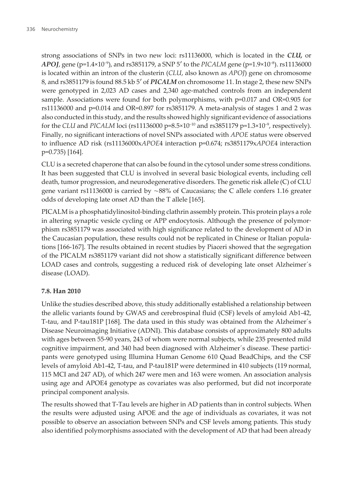strong associations of SNPs in two new loci: rs11136000, which is located in the *CLU,* or *APOJ*, gene (p=1.4×10<sup>-9</sup>), and rs3851179, a SNP 5' to the *PICALM* gene (p=1.9×10<sup>-8</sup>). rs11136000 is located within an intron of the clusterin (*CLU*, also known as *APOJ*) gene on chromosome 8, and rs3851179 is found 88.5 kb 5′ of *PICALM* on chromosome 11. In stage 2, these new SNPs were genotyped in 2,023 AD cases and 2,340 age-matched controls from an independent sample. Associations were found for both polymorphisms, with p=0.017 and OR=0.905 for rs11136000 and p=0.014 and OR=0.897 for rs3851179. A meta-analysis of stages 1 and 2 was also conducted in this study, and the results showed highly significant evidence of associations for the *CLU* and *PICALM* loci (rs11136000 p=8.5×10−10 and rs3851179 p=1.3×10−9, respectively). Finally, no significant interactions of novel SNPs associated with *APOE* status were observed to influence AD risk (rs11136000x*APOE*4 interaction p=0.674; rs3851179x*APOE*4 interaction p=0.735) [\[164\]](#page-34-0).

CLU is a secreted chaperone that can also be found in the cytosol under some stress conditions. It has been suggested that CLU is involved in several basic biological events, including cell death, tumor progression, and neurodegenerative disorders. The genetic risk allele (C) of CLU gene variant rs11136000 is carried by ∼88% of Caucasians; the C allele confers 1.16 greater odds of developing late onset AD than the T allele [\[165\]](#page-34-0).

PICALM is a phosphatidylinositol-binding clathrin assembly protein. This protein plays a role in altering synaptic vesicle cycling or APP endocytosis. Although the presence of polymorphism rs3851179 was associated with high significance related to the development of AD in the Caucasian population, these results could not be replicated in Chinese or Italian popula‐ tions [[166-167\]](#page-34-0). The results obtained in recent studies by Piaceri showed that the segregation of the PICALM rs3851179 variant did not show a statistically significant difference between LOAD cases and controls, suggesting a reduced risk of developing late onset Alzheimer´s disease (LOAD).

#### **7.8. Han 2010**

Unlike the studies described above, this study additionally established a relationship between the allelic variants found by GWAS and cerebrospinal fluid (CSF) levels of amyloid Ab1-42, T-tau, and P-tau181P [\[168\]](#page-34-0). The data used in this study was obtained from the Alzheimer´s Disease Neuroimaging Initiative (ADNI). This database consists of approximately 800 adults with ages between 55-90 years, 243 of whom were normal subjects, while 235 presented mild cognitive impairment, and 340 had been diagnosed with Alzheimer's disease. These participants were genotyped using Illumina Human Genome 610 Quad BeadChips, and the CSF levels of amyloid Ab1-42, T-tau, and P-tau181P were determined in 410 subjects (119 normal, 115 MCI and 247 AD), of which 247 were men and 163 were women. An association analysis using age and APOE4 genotype as covariates was also performed, but did not incorporate principal component analysis.

The results showed that T-Tau levels are higher in AD patients than in control subjects. When the results were adjusted using APOE and the age of individuals as covariates, it was not possible to observe an association between SNPs and CSF levels among patients. This study also identified polymorphisms associated with the development of AD that had been already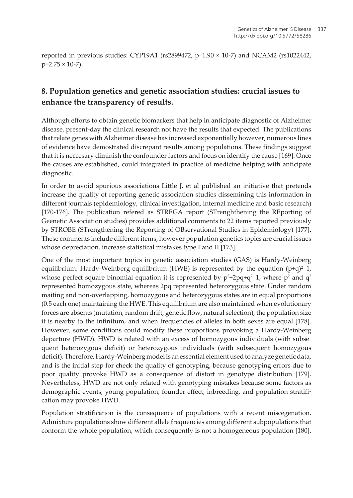reported in previous studies: CYP19A1 (rs2899472,  $p=1.90 \times 10-7$ ) and NCAM2 (rs1022442,  $p=2.75 \times 10-7$ .

# **8. Population genetics and genetic association studies: crucial issues to enhance the transparency of results.**

Although efforts to obtain genetic biomarkers that help in anticipate diagnostic of Alzheimer disease, present-day the clinical research not have the results that expected. The publications that relate genes with Alzheimer disease has increased exponentially however, numerous lines of evidence have demostrated discrepant results among populations. These findings suggest that it is neccesary diminish the confounder factors and focus on identify the cause [\[169\]](#page-35-0). Once the causes are established, could integrated in practice of medicine helping with anticipate diagnostic.

In order to avoid spurious associations Little J. et al published an initiative that pretends increase the quality of reporting genetic association studies dissemining this information in different journals (epidemiology, clinical investigation, internal medicine and basic research) [[170-176\]](#page-35-0). The publication refered as STREGA report (STrenghthening the REporting of Geenetic Association studies) provides additional comments to 22 items reported previously by STROBE (STrengthening the Reporting of OBservational Studies in Epidemiology) [\[177\]](#page-35-0). These comments include different items, however population genetics topics are crucial issues whose depreciation, increase statistical mistakes type I and II [\[173\]](#page-35-0).

One of the most important topics in genetic association studies (GAS) is Hardy-Weinberg equilibrium. Hardy-Weinberg equilibrium (HWE) is represented by the equation  $(p+q)^2=1$ , whose perfect square binomial equation it is represented by  $p^2+2pq+q^2=1$ , where  $p^2$  and  $q^2$ represented homozygous state, whereas 2pq represented heterozygous state. Under random maiting and non-overlapping, homozygous and heterozygous states are in equal proportions (0.5 each one) maintaining the HWE. This equilibrium are also maintained when evolutionary forces are absents (mutation, random drift, genetic flow, natural selection), the population size it is nearby to the infinitum, and when frequencies of alleles in both sexes are equal [\[178\]](#page-35-0). However, some conditions could modify these proportions provoking a Hardy-Weinberg departure (HWD). HWD is related with an excess of homozygous individuals (with subsequent heterozygous deficit) or heterozygous individuals (with subsequent homozygous deficit). Therefore, Hardy-Weinberg model is an essential element used to analyze genetic data, and is the initial step for check the quality of genotyping, because genotyping errors due to poor quality provoke HWD as a consequence of distort in genotype distribution [\[179\]](#page-35-0). Nevertheless, HWD are not only related with genotyping mistakes because some factors as demographic events, young population, founder effect, inbreeding, and population stratification may provoke HWD.

Population stratification is the consequence of populations with a recent miscegenation. Admixture populations show different allele frequencies among different subpopulations that conform the whole population, which consequently is not a homogeneous population [\[180\]](#page-35-0).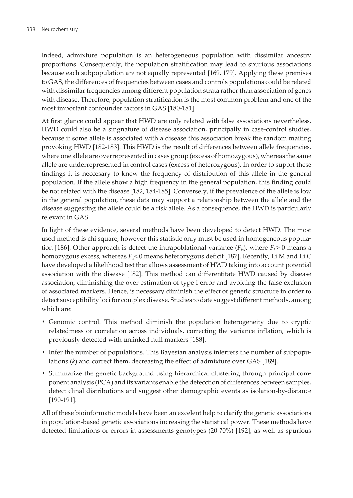Indeed, admixture population is an heterogeneous population with dissimilar ancestry proportions. Consequently, the population stratification may lead to spurious associations because each subpopulation are not equally represented [\[169,](#page-35-0) [179](#page-35-0)]. Applying these premises to GAS, the differences of frequencies between cases and controls populations could be related with dissimilar frequencies among different population strata rather than association of genes with disease. Therefore, population stratification is the most common problem and one of the most important confounder factors in GAS [\[180-181](#page-35-0)].

At first glance could appear that HWD are only related with false associations nevertheless, HWD could also be a singnature of disease association, principally in case-control studies, because if some allele is associated with a disease this association break the random maiting provoking HWD [[182-183\]](#page-35-0). This HWD is the result of differences between allele frequencies, where one allele are overrepresented in cases group (excess of homozygous), whereas the same allele are underrepresented in control cases (excess of heterozygous). In order to suport these findings it is neccesary to know the frequency of distribution of this allele in the general population. If the allele show a high frequency in the general population, this finding could be not related with the disease [[182](#page-35-0), [184](#page-35-0)[-185\]](#page-36-0). Conversely, if the prevalence of the allele is low in the general population, these data may support a relationship between the allele and the disease suggesting the allele could be a risk allele. As a consequence, the HWD is particularly relevant in GAS.

In light of these evidence, several methods have been developed to detect HWD. The most used method is chi square, however this statistic only must be used in homogeneous popula-tion [\[186\]](#page-36-0). Other approach is detect the intrapoblational variance  $(F_{is})$ , where  $F_{is}$  0 means a homozygous excess, whereas *Fis*< 0 means heterozygous deficit [[187](#page-36-0)]. Recently, Li M and Li C have developed a likelihood test that allows assessment of HWD taking into account potential association with the disease [\[182\]](#page-35-0). This method can differentitate HWD caused by disease association, diminishing the over estimation of type I error and avoiding the false exclusion of associated markers. Hence, is necessary diminish the effect of genetic structure in order to detect susceptibility loci for complex disease. Studies to date suggest different methods, among which are:

- **•** Genomic control. This method diminish the population heterogeneity due to cryptic relatedmess or correlation across individuals, correcting the variance inflation, which is previously detected with unlinked null markers [[188](#page-36-0)].
- Infer the number of populations. This Bayesian analysis inferrers the number of subpopulations (*k*) and correct them, decreasing the effect of admixture over GAS [\[189\]](#page-36-0).
- **•** Summarize the genetic background using hierarchical clustering through principal com‐ ponent analysis (PCA) and its variants enable the detecction of differences between samples, detect clinal distributions and suggest other demographic events as isolation-by-distance [[190-191\]](#page-36-0).

All of these bioinformatic models have been an excelent help to clarify the genetic associations in population-based genetic associations increasing the statistical power. These methods have detected limitations or errors in assessments genotypes (20-70%) [\[192\]](#page-36-0), as well as spurious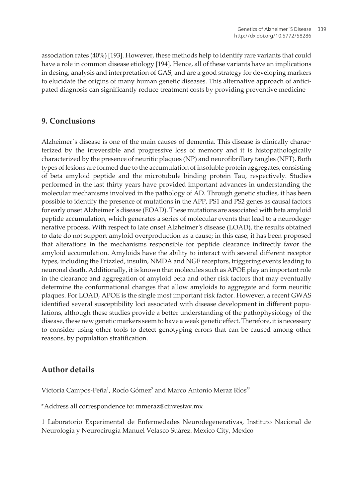association rates (40%) [[193](#page-36-0)]. However, these methods help to identify rare variants that could have a role in common disease etiology [[194](#page-36-0)]. Hence, all of these variants have an implications in desing, analysis and interpretation of GAS, and are a good strategy for developing markers to elucidate the origins of many human genetic diseases. This alternative approach of anticipated diagnosis can significantly reduce treatment costs by providing preventive medicine

### **9. Conclusions**

Alzheimer´s disease is one of the main causes of dementia. This disease is clinically charac‐ terized by the irreversible and progressive loss of memory and it is histopathologically characterized by the presence of neuritic plaques (NP) and neurofibrillary tangles (NFT). Both types of lesions are formed due to the accumulation of insoluble protein aggregates, consisting of beta amyloid peptide and the microtubule binding protein Tau, respectively. Studies performed in the last thirty years have provided important advances in understanding the molecular mechanisms involved in the pathology of AD. Through genetic studies, it has been possible to identify the presence of mutations in the APP, PS1 and PS2 genes as causal factors for early onset Alzheimer´s disease (EOAD). These mutations are associated with beta amyloid peptide accumulation, which generates a series of molecular events that lead to a neurodegenerative process. With respect to late onset Alzheimer ́s disease (LOAD), the results obtained to date do not support amyloid overproduction as a cause; in this case, it has been proposed that alterations in the mechanisms responsible for peptide clearance indirectly favor the amyloid accumulation. Amyloids have the ability to interact with several different receptor types, including the Frizzled, insulin, NMDA and NGF receptors, triggering events leading to neuronal death. Additionally, it is known that molecules such as APOE play an important role in the clearance and aggregation of amyloid beta and other risk factors that may eventually determine the conformational changes that allow amyloids to aggregate and form neuritic plaques. For LOAD, APOE is the single most important risk factor. However, a recent GWAS identified several susceptibility loci associated with disease development in different populations, although these studies provide a better understanding of the pathophysiology of the disease, these new genetic markers seem to have a weak genetic effect. Therefore, it is necessary to consider using other tools to detect genotyping errors that can be caused among other reasons, by population stratification.

## **Author details**

Victoria Campos-Peña<sup>1</sup>, Rocío Gómez<sup>2</sup> and Marco Antonio Meraz Ríos<sup>3</sup>\*

\*Address all correspondence to: mmeraz@cinvestav.mx

1 Laboratorio Experimental de Enfermedades Neurodegenerativas, Instituto Nacional de Neurología y Neurocirugía Manuel Velasco Suárez. Mexico City, Mexico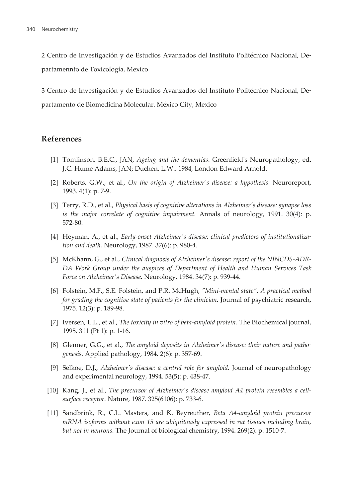<span id="page-23-0"></span>2 Centro de Investigación y de Estudios Avanzados del Instituto Politécnico Nacional, De‐ partamennto de Toxicología, Mexico

3 Centro de Investigación y de Estudios Avanzados del Instituto Politécnico Nacional, De‐ partamento de Biomedicina Molecular. México City, Mexico

#### **References**

- [1] Tomlinson, B.E.C., JAN, *Ageing and the dementias*. Greenfield's Neuropathology, ed. J.C. Hume Adams, JAN; Duchen, L.W.. 1984, London Edward Arnold.
- [2] Roberts, G.W., et al., *On the origin of Alzheimer's disease: a hypothesis.* Neuroreport, 1993. 4(1): p. 7-9.
- [3] Terry, R.D., et al., *Physical basis of cognitive alterations in Alzheimer's disease: synapse loss is the major correlate of cognitive impairment.* Annals of neurology, 1991. 30(4): p. 572-80.
- [4] Heyman, A., et al., *Early-onset Alzheimer's disease: clinical predictors of institutionaliza‐ tion and death.* Neurology, 1987. 37(6): p. 980-4.
- [5] McKhann, G., et al., *Clinical diagnosis of Alzheimer's disease: report of the NINCDS-ADR‐ DA Work Group under the auspices of Department of Health and Human Services Task Force on Alzheimer's Disease.* Neurology, 1984. 34(7): p. 939-44.
- [6] Folstein, M.F., S.E. Folstein, and P.R. McHugh, *"Mini-mental state". A practical method for grading the cognitive state of patients for the clinician.* Journal of psychiatric research, 1975. 12(3): p. 189-98.
- [7] Iversen, L.L., et al., *The toxicity in vitro of beta-amyloid protein.* The Biochemical journal, 1995. 311 (Pt 1): p. 1-16.
- [8] Glenner, G.G., et al., *The amyloid deposits in Alzheimer's disease: their nature and patho‐ genesis.* Applied pathology, 1984. 2(6): p. 357-69.
- [9] Selkoe, D.J., *Alzheimer's disease: a central role for amyloid.* Journal of neuropathology and experimental neurology, 1994. 53(5): p. 438-47.
- [10] Kang, J., et al., *The precursor of Alzheimer's disease amyloid A4 protein resembles a cellsurface receptor.* Nature, 1987. 325(6106): p. 733-6.
- [11] Sandbrink, R., C.L. Masters, and K. Beyreuther, *Beta A4-amyloid protein precursor mRNA isoforms without exon 15 are ubiquitously expressed in rat tissues including brain, but not in neurons.* The Journal of biological chemistry, 1994. 269(2): p. 1510-7.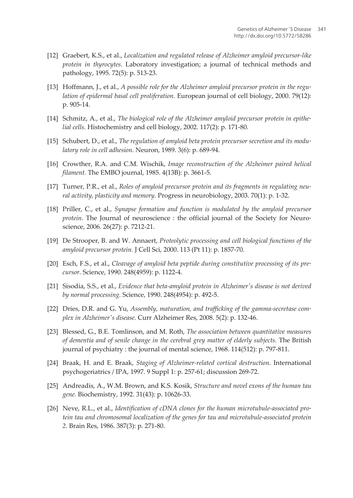- <span id="page-24-0"></span>[12] Graebert, K.S., et al., *Localization and regulated release of Alzheimer amyloid precursor-like protein in thyrocytes.* Laboratory investigation; a journal of technical methods and pathology, 1995. 72(5): p. 513-23.
- [13] Hoffmann, J., et al., *A possible role for the Alzheimer amyloid precursor protein in the regu lation of epidermal basal cell proliferation.* European journal of cell biology, 2000. 79(12): p. 905-14.
- [14] Schmitz, A., et al., *The biological role of the Alzheimer amyloid precursor protein in epithe‐ lial cells.* Histochemistry and cell biology, 2002. 117(2): p. 171-80.
- [15] Schubert, D., et al., *The regulation of amyloid beta protein precursor secretion and its modu‐ latory role in cell adhesion.* Neuron, 1989. 3(6): p. 689-94.
- [16] Crowther, R.A. and C.M. Wischik, *Image reconstruction of the Alzheimer paired helical filament.* The EMBO journal, 1985. 4(13B): p. 3661-5.
- [17] Turner, P.R., et al., *Roles of amyloid precursor protein and its fragments in regulating neu‐ ral activity, plasticity and memory.* Progress in neurobiology, 2003. 70(1): p. 1-32.
- [18] Priller, C., et al., *Synapse formation and function is modulated by the amyloid precursor protein.* The Journal of neuroscience : the official journal of the Society for Neuroscience, 2006. 26(27): p. 7212-21.
- [19] De Strooper, B. and W. Annaert, *Proteolytic processing and cell biological functions of the amyloid precursor protein.* J Cell Sci, 2000. 113 (Pt 11): p. 1857-70.
- [20] Esch, F.S., et al., *Cleavage of amyloid beta peptide during constitutive processing of its pre‐ cursor.* Science, 1990. 248(4959): p. 1122-4.
- [21] Sisodia, S.S., et al., *Evidence that beta-amyloid protein in Alzheimer's disease is not derived by normal processing.* Science, 1990. 248(4954): p. 492-5.
- [22] Dries, D.R. and G. Yu, *Assembly, maturation, and trafficking of the gamma-secretase complex in Alzheimer's disease.* Curr Alzheimer Res, 2008. 5(2): p. 132-46.
- [23] Blessed, G., B.E. Tomlinson, and M. Roth, *The association between quantitative measures of dementia and of senile change in the cerebral grey matter of elderly subjects.* The British journal of psychiatry : the journal of mental science, 1968. 114(512): p. 797-811.
- [24] Braak, H. and E. Braak, *Staging of Alzheimer-related cortical destruction.* International psychogeriatrics / IPA, 1997. 9 Suppl 1: p. 257-61; discussion 269-72.
- [25] Andreadis, A., W.M. Brown, and K.S. Kosik, *Structure and novel exons of the human tau gene.* Biochemistry, 1992. 31(43): p. 10626-33.
- [26] Neve, R.L., et al., *Identification of cDNA clones for the human microtubule-associated pro‐ tein tau and chromosomal localization of the genes for tau and microtubule-associated protein 2.* Brain Res, 1986. 387(3): p. 271-80.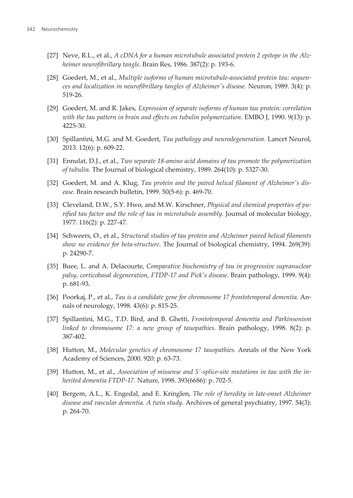- <span id="page-25-0"></span>[27] Neve, R.L., et al., *A cDNA for a human microtubule associated protein 2 epitope in the Alz‐ heimer neurofibrillary tangle.* Brain Res, 1986. 387(2): p. 193-6.
- [28] Goedert, M., et al., *Multiple isoforms of human microtubule-associated protein tau: sequen‐ ces and localization in neurofibrillary tangles of Alzheimer's disease.* Neuron, 1989. 3(4): p. 519-26.
- [29] Goedert, M. and R. Jakes, *Expression of separate isoforms of human tau protein: correlation with the tau pattern in brain and effects on tubulin polymerization.* EMBO J, 1990. 9(13): p. 4225-30.
- [30] Spillantini, M.G. and M. Goedert, *Tau pathology and neurodegeneration.* Lancet Neurol, 2013. 12(6): p. 609-22.
- [31] Ennulat, D.J., et al., *Two separate 18-amino acid domains of tau promote the polymerization of tubulin.* The Journal of biological chemistry, 1989. 264(10): p. 5327-30.
- [32] Goedert, M. and A. Klug, *Tau protein and the paired helical filament of Alzheimer's dis‐ ease.* Brain research bulletin, 1999. 50(5-6): p. 469-70.
- [33] Cleveland, D.W., S.Y. Hwo, and M.W. Kirschner, *Physical and chemical properties of pu‐ rified tau factor and the role of tau in microtubule assembly.* Journal of molecular biology, 1977. 116(2): p. 227-47.
- [34] Schweers, O., et al., *Structural studies of tau protein and Alzheimer paired helical filaments show no evidence for beta-structure.* The Journal of biological chemistry, 1994. 269(39): p. 24290-7.
- [35] Buee, L. and A. Delacourte, *Comparative biochemistry of tau in progressive supranuclear palsy, corticobasal degeneration, FTDP-17 and Pick's disease.* Brain pathology, 1999. 9(4): p. 681-93.
- [36] Poorkaj, P., et al., *Tau is a candidate gene for chromosome 17 frontotemporal dementia.* An‐ nals of neurology, 1998. 43(6): p. 815-25.
- [37] Spillantini, M.G., T.D. Bird, and B. Ghetti, *Frontotemporal dementia and Parkinsonism linked to chromosome 17: a new group of tauopathies.* Brain pathology, 1998. 8(2): p. 387-402.
- [38] Hutton, M., *Molecular genetics of chromosome 17 tauopathies.* Annals of the New York Academy of Sciences, 2000. 920: p. 63-73.
- [39] Hutton, M., et al., *Association of missense and 5'-splice-site mutations in tau with the in‐ herited dementia FTDP-17.* Nature, 1998. 393(6686): p. 702-5.
- [40] Bergem, A.L., K. Engedal, and E. Kringlen, *The role of heredity in late-onset Alzheimer disease and vascular dementia. A twin study.* Archives of general psychiatry, 1997. 54(3): p. 264-70.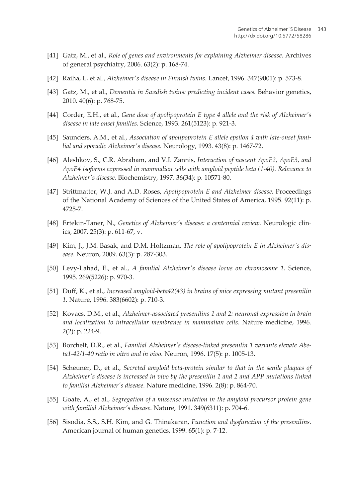- <span id="page-26-0"></span>[41] Gatz, M., et al., *Role of genes and environments for explaining Alzheimer disease.* Archives of general psychiatry, 2006. 63(2): p. 168-74.
- [42] Raiha, I., et al., *Alzheimer's disease in Finnish twins.* Lancet, 1996. 347(9001): p. 573-8.
- [43] Gatz, M., et al., *Dementia in Swedish twins: predicting incident cases.* Behavior genetics, 2010. 40(6): p. 768-75.
- [44] Corder, E.H., et al., *Gene dose of apolipoprotein E type 4 allele and the risk of Alzheimer's disease in late onset families.* Science, 1993. 261(5123): p. 921-3.
- [45] Saunders, A.M., et al., *Association of apolipoprotein E allele epsilon 4 with late-onset fami‐ lial and sporadic Alzheimer's disease.* Neurology, 1993. 43(8): p. 1467-72.
- [46] Aleshkov, S., C.R. Abraham, and V.I. Zannis, *Interaction of nascent ApoE2, ApoE3, and ApoE4 isoforms expressed in mammalian cells with amyloid peptide beta (1-40). Relevance to Alzheimer's disease.* Biochemistry, 1997. 36(34): p. 10571-80.
- [47] Strittmatter, W.J. and A.D. Roses, *Apolipoprotein E and Alzheimer disease.* Proceedings of the National Academy of Sciences of the United States of America, 1995. 92(11): p. 4725-7.
- [48] Ertekin-Taner, N., *Genetics of Alzheimer's disease: a centennial review.* Neurologic clin‐ ics, 2007. 25(3): p. 611-67, v.
- [49] Kim, J., J.M. Basak, and D.M. Holtzman, *The role of apolipoprotein E in Alzheimer's dis‐ ease.* Neuron, 2009. 63(3): p. 287-303.
- [50] Levy-Lahad, E., et al., *A familial Alzheimer's disease locus on chromosome 1.* Science, 1995. 269(5226): p. 970-3.
- [51] Duff, K., et al., *Increased amyloid-beta42(43) in brains of mice expressing mutant presenilin 1.* Nature, 1996. 383(6602): p. 710-3.
- [52] Kovacs, D.M., et al., *Alzheimer-associated presenilins 1 and 2: neuronal expression in brain and localization to intracellular membranes in mammalian cells.* Nature medicine, 1996. 2(2): p. 224-9.
- [53] Borchelt, D.R., et al., *Familial Alzheimer's disease-linked presenilin 1 variants elevate Abe‐ ta1-42/1-40 ratio in vitro and in vivo.* Neuron, 1996. 17(5): p. 1005-13.
- [54] Scheuner, D., et al., *Secreted amyloid beta-protein similar to that in the senile plaques of Alzheimer's disease is increased in vivo by the presenilin 1 and 2 and APP mutations linked to familial Alzheimer's disease.* Nature medicine, 1996. 2(8): p. 864-70.
- [55] Goate, A., et al., *Segregation of a missense mutation in the amyloid precursor protein gene with familial Alzheimer's disease.* Nature, 1991. 349(6311): p. 704-6.
- [56] Sisodia, S.S., S.H. Kim, and G. Thinakaran, *Function and dysfunction of the presenilins.* American journal of human genetics, 1999. 65(1): p. 7-12.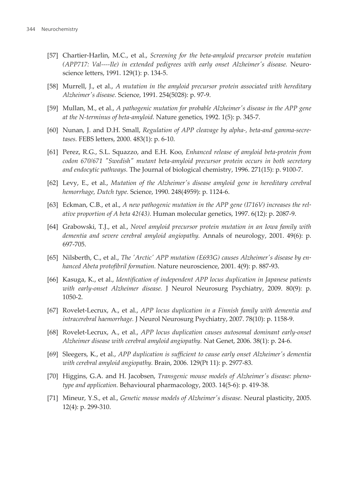- <span id="page-27-0"></span>[57] Chartier-Harlin, M.C., et al., *Screening for the beta-amyloid precursor protein mutation (APP717: Val----Ile) in extended pedigrees with early onset Alzheimer's disease.* Neuro‐ science letters, 1991. 129(1): p. 134-5.
- [58] Murrell, J., et al., *A mutation in the amyloid precursor protein associated with hereditary Alzheimer's disease.* Science, 1991. 254(5028): p. 97-9.
- [59] Mullan, M., et al., *A pathogenic mutation for probable Alzheimer's disease in the APP gene at the N-terminus of beta-amyloid.* Nature genetics, 1992. 1(5): p. 345-7.
- [60] Nunan, J. and D.H. Small, *Regulation of APP cleavage by alpha-, beta-and gamma-secre‐ tases.* FEBS letters, 2000. 483(1): p. 6-10.
- [61] Perez, R.G., S.L. Squazzo, and E.H. Koo, *Enhanced release of amyloid beta-protein from codon 670/671 "Swedish" mutant beta-amyloid precursor protein occurs in both secretory and endocytic pathways.* The Journal of biological chemistry, 1996. 271(15): p. 9100-7.
- [62] Levy, E., et al., *Mutation of the Alzheimer's disease amyloid gene in hereditary cerebral hemorrhage, Dutch type.* Science, 1990. 248(4959): p. 1124-6.
- [63] Eckman, C.B., et al., *A new pathogenic mutation in the APP gene (I716V) increases the rel‐ ative proportion of A beta 42(43).* Human molecular genetics, 1997. 6(12): p. 2087-9.
- [64] Grabowski, T.J., et al., *Novel amyloid precursor protein mutation in an Iowa family with dementia and severe cerebral amyloid angiopathy.* Annals of neurology, 2001. 49(6): p. 697-705.
- [65] Nilsberth, C., et al., *The 'Arctic' APP mutation (E693G) causes Alzheimer's disease by en‐ hanced Abeta protofibril formation.* Nature neuroscience, 2001. 4(9): p. 887-93.
- [66] Kasuga, K., et al., *Identification of independent APP locus duplication in Japanese patients with early-onset Alzheimer disease.* J Neurol Neurosurg Psychiatry, 2009. 80(9): p. 1050-2.
- [67] Rovelet-Lecrux, A., et al., *APP locus duplication in a Finnish family with dementia and intracerebral haemorrhage.* J Neurol Neurosurg Psychiatry, 2007. 78(10): p. 1158-9.
- [68] Rovelet-Lecrux, A., et al., *APP locus duplication causes autosomal dominant early-onset Alzheimer disease with cerebral amyloid angiopathy.* Nat Genet, 2006. 38(1): p. 24-6.
- [69] Sleegers, K., et al., *APP duplication is sufficient to cause early onset Alzheimer's dementia with cerebral amyloid angiopathy.* Brain, 2006. 129(Pt 11): p. 2977-83.
- [70] Higgins, G.A. and H. Jacobsen, *Transgenic mouse models of Alzheimer's disease: pheno‐ type and application.* Behavioural pharmacology, 2003. 14(5-6): p. 419-38.
- [71] Mineur, Y.S., et al., *Genetic mouse models of Alzheimer's disease.* Neural plasticity, 2005. 12(4): p. 299-310.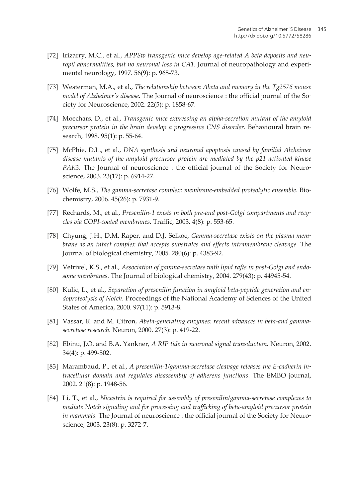- <span id="page-28-0"></span>[72] Irizarry, M.C., et al., *APPSw transgenic mice develop age-related A beta deposits and neu‐ ropil abnormalities, but no neuronal loss in CA1.* Journal of neuropathology and experimental neurology, 1997. 56(9): p. 965-73.
- [73] Westerman, M.A., et al., *The relationship between Abeta and memory in the Tg2576 mouse model of Alzheimer's disease.* The Journal of neuroscience : the official journal of the Society for Neuroscience, 2002. 22(5): p. 1858-67.
- [74] Moechars, D., et al., *Transgenic mice expressing an alpha-secretion mutant of the amyloid precursor protein in the brain develop a progressive CNS disorder.* Behavioural brain re‐ search, 1998. 95(1): p. 55-64.
- [75] McPhie, D.L., et al., *DNA synthesis and neuronal apoptosis caused by familial Alzheimer disease mutants of the amyloid precursor protein are mediated by the p21 activated kinase PAK3*. The Journal of neuroscience : the official journal of the Society for Neuroscience, 2003. 23(17): p. 6914-27.
- [76] Wolfe, M.S., *The gamma-secretase complex: membrane-embedded proteolytic ensemble.* Bio‐ chemistry, 2006. 45(26): p. 7931-9.
- [77] Rechards, M., et al., *Presenilin-1 exists in both pre-and post-Golgi compartments and recy‐ cles via COPI-coated membranes.* Traffic, 2003. 4(8): p. 553-65.
- [78] Chyung, J.H., D.M. Raper, and D.J. Selkoe, *Gamma-secretase exists on the plasma mem‐ brane as an intact complex that accepts substrates and effects intramembrane cleavage.* The Journal of biological chemistry, 2005. 280(6): p. 4383-92.
- [79] Vetrivel, K.S., et al., *Association of gamma-secretase with lipid rafts in post-Golgi and endo‐ some membranes.* The Journal of biological chemistry, 2004. 279(43): p. 44945-54.
- [80] Kulic, L., et al., *Separation of presenilin function in amyloid beta-peptide generation and en‐ doproteolysis of Notch.* Proceedings of the National Academy of Sciences of the United States of America, 2000. 97(11): p. 5913-8.
- [81] Vassar, R. and M. Citron, *Abeta-generating enzymes: recent advances in beta-and gammasecretase research.* Neuron, 2000. 27(3): p. 419-22.
- [82] Ebinu, J.O. and B.A. Yankner, *A RIP tide in neuronal signal transduction.* Neuron, 2002. 34(4): p. 499-502.
- [83] Marambaud, P., et al., *A presenilin-1/gamma-secretase cleavage releases the E-cadherin in‐ tracellular domain and regulates disassembly of adherens junctions.* The EMBO journal, 2002. 21(8): p. 1948-56.
- [84] Li, T., et al., *Nicastrin is required for assembly of presenilin/gamma-secretase complexes to mediate Notch signaling and for processing and trafficking of beta-amyloid precursor protein* in mammals. The Journal of neuroscience : the official journal of the Society for Neuroscience, 2003. 23(8): p. 3272-7.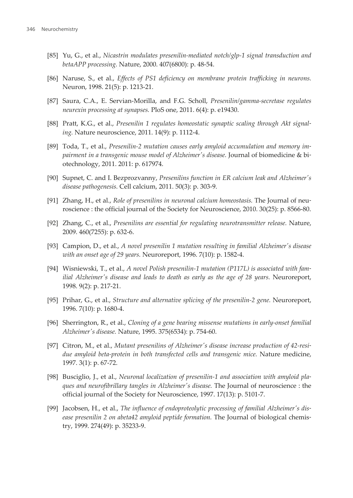- <span id="page-29-0"></span>[85] Yu, G., et al., *Nicastrin modulates presenilin-mediated notch/glp-1 signal transduction and betaAPP processing.* Nature, 2000. 407(6800): p. 48-54.
- [86] Naruse, S., et al., *Effects of PS1 deficiency on membrane protein trafficking in neurons.* Neuron, 1998. 21(5): p. 1213-21.
- [87] Saura, C.A., E. Servian-Morilla, and F.G. Scholl, *Presenilin/gamma-secretase regulates neurexin processing at synapses.* PloS one, 2011. 6(4): p. e19430.
- [88] Pratt, K.G., et al., *Presenilin 1 regulates homeostatic synaptic scaling through Akt signal‐ ing.* Nature neuroscience, 2011. 14(9): p. 1112-4.
- [89] Toda, T., et al., *Presenilin-2 mutation causes early amyloid accumulation and memory im‐ pairment in a transgenic mouse model of Alzheimer's disease.* Journal of biomedicine & bi‐ otechnology, 2011. 2011: p. 617974.
- [90] Supnet, C. and I. Bezprozvanny, *Presenilins function in ER calcium leak and Alzheimer's disease pathogenesis.* Cell calcium, 2011. 50(3): p. 303-9.
- [91] Zhang, H., et al., *Role of presenilins in neuronal calcium homeostasis*. The Journal of neuroscience : the official journal of the Society for Neuroscience, 2010. 30(25): p. 8566-80.
- [92] Zhang, C., et al., *Presenilins are essential for regulating neurotransmitter release.* Nature, 2009. 460(7255): p. 632-6.
- [93] Campion, D., et al., *A novel presenilin 1 mutation resulting in familial Alzheimer's disease with an onset age of 29 years.* Neuroreport, 1996. 7(10): p. 1582-4.
- [94] Wisniewski, T., et al., *A novel Polish presenilin-1 mutation (P117L) is associated with fam‐ ilial Alzheimer's disease and leads to death as early as the age of 28 years.* Neuroreport, 1998. 9(2): p. 217-21.
- [95] Prihar, G., et al., *Structure and alternative splicing of the presenilin-2 gene.* Neuroreport, 1996. 7(10): p. 1680-4.
- [96] Sherrington, R., et al., *Cloning of a gene bearing missense mutations in early-onset familial Alzheimer's disease.* Nature, 1995. 375(6534): p. 754-60.
- [97] Citron, M., et al., *Mutant presenilins of Alzheimer's disease increase production of 42-resi‐ due amyloid beta-protein in both transfected cells and transgenic mice.* Nature medicine, 1997. 3(1): p. 67-72.
- [98] Busciglio, J., et al., *Neuronal localization of presenilin-1 and association with amyloid pla‐ ques and neurofibrillary tangles in Alzheimer's disease.* The Journal of neuroscience : the official journal of the Society for Neuroscience, 1997. 17(13): p. 5101-7.
- [99] Jacobsen, H., et al., *The influence of endoproteolytic processing of familial Alzheimer's dis‐ ease presenilin 2 on abeta42 amyloid peptide formation.* The Journal of biological chemis‐ try, 1999. 274(49): p. 35233-9.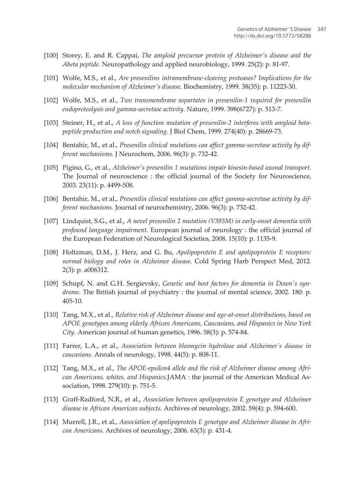- <span id="page-30-0"></span>[100] Storey, E. and R. Cappai, *The amyloid precursor protein of Alzheimer's disease and the Abeta peptide.* Neuropathology and applied neurobiology, 1999. 25(2): p. 81-97.
- [101] Wolfe, M.S., et al., *Are presenilins intramembrane-cleaving proteases? Implications for the molecular mechanism of Alzheimer's disease.* Biochemistry, 1999. 38(35): p. 11223-30.
- [102] Wolfe, M.S., et al., *Two transmembrane aspartates in presenilin-1 required for presenilin endoproteolysis and gamma-secretase activity.* Nature, 1999. 398(6727): p. 513-7.
- [103] Steiner, H., et al., *A loss of function mutation of presenilin-2 interferes with amyloid betapeptide production and notch signaling.* J Biol Chem, 1999. 274(40): p. 28669-73.
- [104] Bentahir, M., et al., *Presenilin clinical mutations can affect gamma-secretase activity by dif‐ ferent mechanisms.* J Neurochem, 2006. 96(3): p. 732-42.
- [105] Pigino, G., et al., *Alzheimer's presenilin 1 mutations impair kinesin-based axonal transport.* The Journal of neuroscience : the official journal of the Society for Neuroscience, 2003. 23(11): p. 4499-508.
- [106] Bentahir, M., et al., *Presenilin clinical mutations can affect gamma-secretase activity by dif‐ ferent mechanisms.* Journal of neurochemistry, 2006. 96(3): p. 732-42.
- [107] Lindquist, S.G., et al., *A novel presenilin 2 mutation (V393M) in early-onset dementia with profound language impairment.* European journal of neurology : the official journal of the European Federation of Neurological Societies, 2008. 15(10): p. 1135-9.
- [108] Holtzman, D.M., J. Herz, and G. Bu, *Apolipoprotein E and apolipoprotein E receptors: normal biology and roles in Alzheimer disease.* Cold Spring Harb Perspect Med, 2012. 2(3): p. a006312.
- [109] Schupf, N. and G.H. Sergievsky, *Genetic and host factors for dementia in Down's syn‐ drome.* The British journal of psychiatry : the journal of mental science, 2002. 180: p. 405-10.
- [110] Tang, M.X., et al., *Relative risk of Alzheimer disease and age-at-onset distributions, based on APOE genotypes among elderly African Americans, Caucasians, and Hispanics in New York City.* American journal of human genetics, 1996. 58(3): p. 574-84.
- [111] Farrer, L.A., et al., *Association between bleomycin hydrolase and Alzheimer's disease in caucasians.* Annals of neurology, 1998. 44(5): p. 808-11.
- [112] Tang, M.X., et al., *The APOE-epsilon4 allele and the risk of Alzheimer disease among Afri‐ can Americans, whites, and Hispanics.*JAMA : the journal of the American Medical As‐ sociation, 1998. 279(10): p. 751-5.
- [113] Graff-Radford, N.R., et al., *Association between apolipoprotein E genotype and Alzheimer disease in African American subjects.* Archives of neurology, 2002. 59(4): p. 594-600.
- [114] Murrell, J.R., et al., *Association of apolipoprotein E genotype and Alzheimer disease in Afri‐ can Americans.* Archives of neurology, 2006. 63(3): p. 431-4.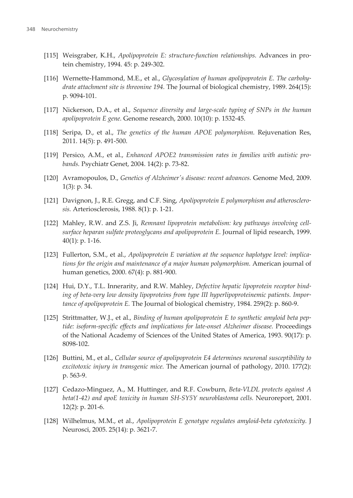- <span id="page-31-0"></span>[115] Weisgraber, K.H., *Apolipoprotein E: structure-function relationships*. Advances in protein chemistry, 1994. 45: p. 249-302.
- [116] Wernette-Hammond, M.E., et al., *Glycosylation of human apolipoprotein E. The carbohy‐ drate attachment site is threonine 194.* The Journal of biological chemistry, 1989. 264(15): p. 9094-101.
- [117] Nickerson, D.A., et al., *Sequence diversity and large-scale typing of SNPs in the human apolipoprotein E gene.* Genome research, 2000. 10(10): p. 1532-45.
- [118] Seripa, D., et al., *The genetics of the human APOE polymorphism.* Rejuvenation Res, 2011. 14(5): p. 491-500.
- [119] Persico, A.M., et al., *Enhanced APOE2 transmission rates in families with autistic pro‐ bands.* Psychiatr Genet, 2004. 14(2): p. 73-82.
- [120] Avramopoulos, D., *Genetics of Alzheimer's disease: recent advances.* Genome Med, 2009. 1(3): p. 34.
- [121] Davignon, J., R.E. Gregg, and C.F. Sing, *Apolipoprotein E polymorphism and atherosclero‐ sis.* Arteriosclerosis, 1988. 8(1): p. 1-21.
- [122] Mahley, R.W. and Z.S. Ji, *Remnant lipoprotein metabolism: key pathways involving cellsurface heparan sulfate proteoglycans and apolipoprotein E.* Journal of lipid research, 1999. 40(1): p. 1-16.
- [123] Fullerton, S.M., et al., *Apolipoprotein E variation at the sequence haplotype level: implica‐ tions for the origin and maintenance of a major human polymorphism.* American journal of human genetics, 2000. 67(4): p. 881-900.
- [124] Hui, D.Y., T.L. Innerarity, and R.W. Mahley, *Defective hepatic lipoprotein receptor bind‐ ing of beta-very low density lipoproteins from type III hyperlipoproteinemic patients. Impor‐ tance of apolipoprotein E.* The Journal of biological chemistry, 1984. 259(2): p. 860-9.
- [125] Strittmatter, W.J., et al., *Binding of human apolipoprotein E to synthetic amyloid beta pep‐ tide: isoform-specific effects and implications for late-onset Alzheimer disease.* Proceedings of the National Academy of Sciences of the United States of America, 1993. 90(17): p. 8098-102.
- [126] Buttini, M., et al., *Cellular source of apolipoprotein E4 determines neuronal susceptibility to excitotoxic injury in transgenic mice.* The American journal of pathology, 2010. 177(2): p. 563-9.
- [127] Cedazo-Minguez, A., M. Huttinger, and R.F. Cowburn, *Beta-VLDL protects against A beta(1-42) and apoE toxicity in human SH-SY5Y neuroblastoma cells.* Neuroreport, 2001. 12(2): p. 201-6.
- [128] Wilhelmus, M.M., et al., *Apolipoprotein E genotype regulates amyloid-beta cytotoxicity.* J Neurosci, 2005. 25(14): p. 3621-7.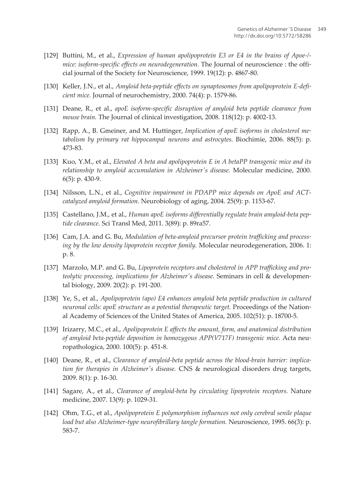- <span id="page-32-0"></span>[129] Buttini, M., et al., *Expression of human apolipoprotein E3 or E4 in the brains of Apoe-/ mice: isoform-specific effects on neurodegeneration.* The Journal of neuroscience : the official journal of the Society for Neuroscience, 1999. 19(12): p. 4867-80.
- [130] Keller, J.N., et al., *Amyloid beta-peptide effects on synaptosomes from apolipoprotein E-defi‐ cient mice.* Journal of neurochemistry, 2000. 74(4): p. 1579-86.
- [131] Deane, R., et al., *apoE isoform-specific disruption of amyloid beta peptide clearance from mouse brain.* The Journal of clinical investigation, 2008. 118(12): p. 4002-13.
- [132] Rapp, A., B. Gmeiner, and M. Huttinger, *Implication of apoE isoforms in cholesterol me‐ tabolism by primary rat hippocampal neurons and astrocytes.* Biochimie, 2006. 88(5): p. 473-83.
- [133] Kuo, Y.M., et al., *Elevated A beta and apolipoprotein E in A betaPP transgenic mice and its relationship to amyloid accumulation in Alzheimer's disease.* Molecular medicine, 2000. 6(5): p. 430-9.
- [134] Nilsson, L.N., et al., *Cognitive impairment in PDAPP mice depends on ApoE and ACTcatalyzed amyloid formation.* Neurobiology of aging, 2004. 25(9): p. 1153-67.
- [135] Castellano, J.M., et al., *Human apoE isoforms differentially regulate brain amyloid-beta pep‐ tide clearance.* Sci Transl Med, 2011. 3(89): p. 89ra57.
- [136] Cam, J.A. and G. Bu, *Modulation of beta-amyloid precursor protein trafficking and process‐ ing by the low density lipoprotein receptor family.* Molecular neurodegeneration, 2006. 1: p. 8.
- [137] Marzolo, M.P. and G. Bu, *Lipoprotein receptors and cholesterol in APP trafficking and pro‐ teolytic processing, implications for Alzheimer's disease.* Seminars in cell & developmen‐ tal biology, 2009. 20(2): p. 191-200.
- [138] Ye, S., et al., *Apolipoprotein (apo) E4 enhances amyloid beta peptide production in cultured neuronal cells: apoE structure as a potential therapeutic target.* Proceedings of the Nation‐ al Academy of Sciences of the United States of America, 2005. 102(51): p. 18700-5.
- [139] Irizarry, M.C., et al., *Apolipoprotein E affects the amount, form, and anatomical distribution of amyloid beta-peptide deposition in homozygous APP(V717F) transgenic mice.* Acta neu‐ ropathologica, 2000. 100(5): p. 451-8.
- [140] Deane, R., et al., *Clearance of amyloid-beta peptide across the blood-brain barrier: implica‐ tion for therapies in Alzheimer's disease.* CNS & neurological disorders drug targets, 2009. 8(1): p. 16-30.
- [141] Sagare, A., et al., *Clearance of amyloid-beta by circulating lipoprotein receptors.* Nature medicine, 2007. 13(9): p. 1029-31.
- [142] Ohm, T.G., et al., *Apolipoprotein E polymorphism influences not only cerebral senile plaque load but also Alzheimer-type neurofibrillary tangle formation.* Neuroscience, 1995. 66(3): p. 583-7.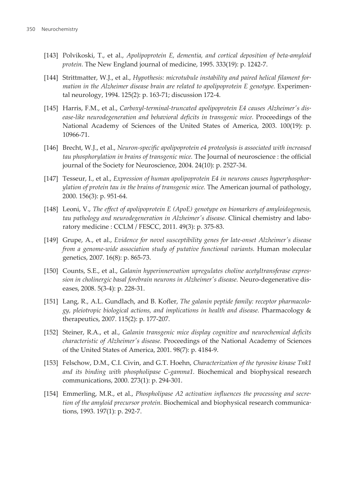- <span id="page-33-0"></span>[143] Polvikoski, T., et al., *Apolipoprotein E, dementia, and cortical deposition of beta-amyloid protein.* The New England journal of medicine, 1995. 333(19): p. 1242-7.
- [144] Strittmatter, W.J., et al., *Hypothesis: microtubule instability and paired helical filament for‐ mation in the Alzheimer disease brain are related to apolipoprotein E genotype.* Experimen‐ tal neurology, 1994. 125(2): p. 163-71; discussion 172-4.
- [145] Harris, F.M., et al., *Carboxyl-terminal-truncated apolipoprotein E4 causes Alzheimer's dis‐ ease-like neurodegeneration and behavioral deficits in transgenic mice.* Proceedings of the National Academy of Sciences of the United States of America, 2003. 100(19): p. 10966-71.
- [146] Brecht, W.J., et al., *Neuron-specific apolipoprotein e4 proteolysis is associated with increased tau phosphorylation in brains of transgenic mice.* The Journal of neuroscience : the official journal of the Society for Neuroscience, 2004. 24(10): p. 2527-34.
- [147] Tesseur, I., et al., *Expression of human apolipoprotein E4 in neurons causes hyperphosphor‐ ylation of protein tau in the brains of transgenic mice.* The American journal of pathology, 2000. 156(3): p. 951-64.
- [148] Leoni, V., *The effect of apolipoprotein E (ApoE) genotype on biomarkers of amyloidogenesis, tau pathology and neurodegeneration in Alzheimer's disease.* Clinical chemistry and labo‐ ratory medicine : CCLM / FESCC, 2011. 49(3): p. 375-83.
- [149] Grupe, A., et al., *Evidence for novel susceptibility genes for late-onset Alzheimer's disease from a genome-wide association study of putative functional variants.* Human molecular genetics, 2007. 16(8): p. 865-73.
- [150] Counts, S.E., et al., *Galanin hyperinnervation upregulates choline acetyltransferase expres‐ sion in cholinergic basal forebrain neurons in Alzheimer's disease.* Neuro-degenerative dis‐ eases, 2008. 5(3-4): p. 228-31.
- [151] Lang, R., A.L. Gundlach, and B. Kofler, *The galanin peptide family: receptor pharmacolo‐ gy, pleiotropic biological actions, and implications in health and disease.* Pharmacology & therapeutics, 2007. 115(2): p. 177-207.
- [152] Steiner, R.A., et al., *Galanin transgenic mice display cognitive and neurochemical deficits characteristic of Alzheimer's disease.* Proceedings of the National Academy of Sciences of the United States of America, 2001. 98(7): p. 4184-9.
- [153] Felschow, D.M., C.I. Civin, and G.T. Hoehn, *Characterization of the tyrosine kinase Tnk1 and its binding with phospholipase C-gamma1.* Biochemical and biophysical research communications, 2000. 273(1): p. 294-301.
- [154] Emmerling, M.R., et al., *Phospholipase A2 activation influences the processing and secre‐ tion of the amyloid precursor protein.* Biochemical and biophysical research communica‐ tions, 1993. 197(1): p. 292-7.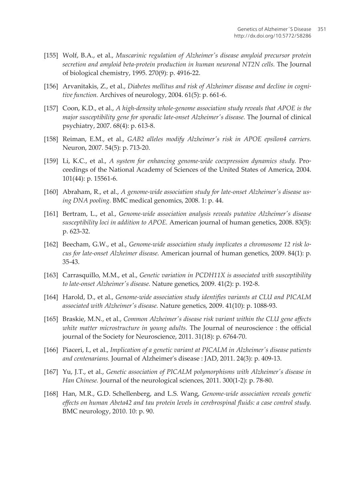- <span id="page-34-0"></span>[155] Wolf, B.A., et al., *Muscarinic regulation of Alzheimer's disease amyloid precursor protein secretion and amyloid beta-protein production in human neuronal NT2N cells.* The Journal of biological chemistry, 1995. 270(9): p. 4916-22.
- [156] Arvanitakis, Z., et al., *Diabetes mellitus and risk of Alzheimer disease and decline in cogni‐ tive function.* Archives of neurology, 2004. 61(5): p. 661-6.
- [157] Coon, K.D., et al., *A high-density whole-genome association study reveals that APOE is the major susceptibility gene for sporadic late-onset Alzheimer's disease.* The Journal of clinical psychiatry, 2007. 68(4): p. 613-8.
- [158] Reiman, E.M., et al., *GAB2 alleles modify Alzheimer's risk in APOE epsilon4 carriers.* Neuron, 2007. 54(5): p. 713-20.
- [159] Li, K.C., et al., *A system for enhancing genome-wide coexpression dynamics study*. Proceedings of the National Academy of Sciences of the United States of America, 2004. 101(44): p. 15561-6.
- [160] Abraham, R., et al., *A genome-wide association study for late-onset Alzheimer's disease us‐ ing DNA pooling.* BMC medical genomics, 2008. 1: p. 44.
- [161] Bertram, L., et al., *Genome-wide association analysis reveals putative Alzheimer's disease susceptibility loci in addition to APOE.* American journal of human genetics, 2008. 83(5): p. 623-32.
- [162] Beecham, G.W., et al., *Genome-wide association study implicates a chromosome 12 risk lo‐ cus for late-onset Alzheimer disease.* American journal of human genetics, 2009. 84(1): p. 35-43.
- [163] Carrasquillo, M.M., et al., *Genetic variation in PCDH11X is associated with susceptibility to late-onset Alzheimer's disease.* Nature genetics, 2009. 41(2): p. 192-8.
- [164] Harold, D., et al., *Genome-wide association study identifies variants at CLU and PICALM associated with Alzheimer's disease.* Nature genetics, 2009. 41(10): p. 1088-93.
- [165] Braskie, M.N., et al., *Common Alzheimer's disease risk variant within the CLU gene affects white matter microstructure in young adults.* The Journal of neuroscience : the official journal of the Society for Neuroscience, 2011. 31(18): p. 6764-70.
- [166] Piaceri, I., et al., *Implication of a genetic variant at PICALM in Alzheimer's disease patients and centenarians.* Journal of Alzheimer's disease : JAD, 2011. 24(3): p. 409-13.
- [167] Yu, J.T., et al., *Genetic association of PICALM polymorphisms with Alzheimer's disease in Han Chinese.* Journal of the neurological sciences, 2011. 300(1-2): p. 78-80.
- [168] Han, M.R., G.D. Schellenberg, and L.S. Wang, *Genome-wide association reveals genetic effects on human Abeta42 and tau protein levels in cerebrospinal fluids: a case control study.* BMC neurology, 2010. 10: p. 90.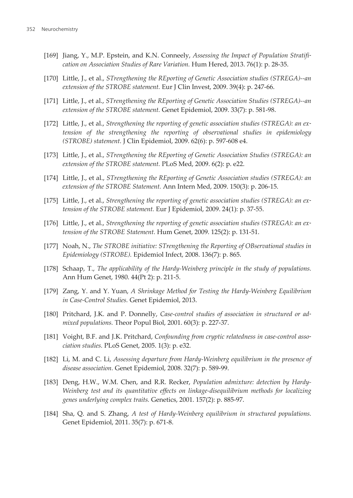- <span id="page-35-0"></span>[169] Jiang, Y., M.P. Epstein, and K.N. Conneely, *Assessing the Impact of Population Stratifi‐ cation on Association Studies of Rare Variation.* Hum Hered, 2013. 76(1): p. 28-35.
- [170] Little, J., et al., *STrengthening the REporting of Genetic Association studies (STREGA)--an extension of the STROBE statement.* Eur J Clin Invest, 2009. 39(4): p. 247-66.
- [171] Little, J., et al., *STrengthening the REporting of Genetic Association Studies (STREGA)--an extension of the STROBE statement.* Genet Epidemiol, 2009. 33(7): p. 581-98.
- [172] Little, J., et al., *Strengthening the reporting of genetic association studies (STREGA): an ex‐ tension of the strengthening the reporting of observational studies in epidemiology (STROBE) statement.* J Clin Epidemiol, 2009. 62(6): p. 597-608 e4.
- [173] Little, J., et al., *STrengthening the REporting of Genetic Association Studies (STREGA): an extension of the STROBE statement.* PLoS Med, 2009. 6(2): p. e22.
- [174] Little, J., et al., *STrengthening the REporting of Genetic Association studies (STREGA): an extension of the STROBE Statement.* Ann Intern Med, 2009. 150(3): p. 206-15.
- [175] Little, J., et al., *Strengthening the reporting of genetic association studies (STREGA): an ex‐ tension of the STROBE statement.* Eur J Epidemiol, 2009. 24(1): p. 37-55.
- [176] Little, J., et al., *Strengthening the reporting of genetic association studies (STREGA): an ex‐ tension of the STROBE Statement.* Hum Genet, 2009. 125(2): p. 131-51.
- [177] Noah, N., *The STROBE initiative: STrengthening the Reporting of OBservational studies in Epidemiology (STROBE).* Epidemiol Infect, 2008. 136(7): p. 865.
- [178] Schaap, T., *The applicability of the Hardy-Weinberg principle in the study of populations.* Ann Hum Genet, 1980. 44(Pt 2): p. 211-5.
- [179] Zang, Y. and Y. Yuan, *A Shrinkage Method for Testing the Hardy-Weinberg Equilibrium in Case-Control Studies.* Genet Epidemiol, 2013.
- [180] Pritchard, J.K. and P. Donnelly, *Case-control studies of association in structured or ad‐ mixed populations.* Theor Popul Biol, 2001. 60(3): p. 227-37.
- [181] Voight, B.F. and J.K. Pritchard, *Confounding from cryptic relatedness in case-control asso‐ ciation studies.* PLoS Genet, 2005. 1(3): p. e32.
- [182] Li, M. and C. Li, *Assessing departure from Hardy-Weinberg equilibrium in the presence of disease association.* Genet Epidemiol, 2008. 32(7): p. 589-99.
- [183] Deng, H.W., W.M. Chen, and R.R. Recker, *Population admixture: detection by Hardy-Weinberg test and its quantitative effects on linkage-disequilibrium methods for localizing genes underlying complex traits.* Genetics, 2001. 157(2): p. 885-97.
- [184] Sha, Q. and S. Zhang, *A test of Hardy-Weinberg equilibrium in structured populations.* Genet Epidemiol, 2011. 35(7): p. 671-8.